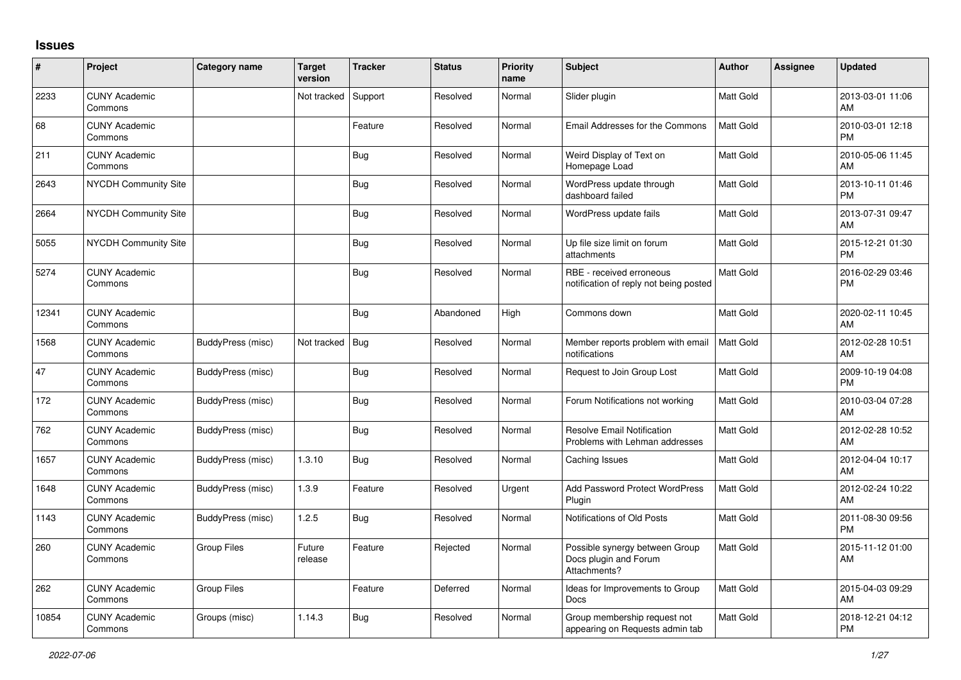## **Issues**

| #     | Project                         | <b>Category name</b> | <b>Target</b><br>version | <b>Tracker</b> | <b>Status</b> | <b>Priority</b><br>name | <b>Subject</b>                                                          | <b>Author</b>    | <b>Assignee</b> | <b>Updated</b>                |
|-------|---------------------------------|----------------------|--------------------------|----------------|---------------|-------------------------|-------------------------------------------------------------------------|------------------|-----------------|-------------------------------|
| 2233  | <b>CUNY Academic</b><br>Commons |                      | Not tracked              | Support        | Resolved      | Normal                  | Slider plugin                                                           | Matt Gold        |                 | 2013-03-01 11:06<br>AM        |
| 68    | <b>CUNY Academic</b><br>Commons |                      |                          | Feature        | Resolved      | Normal                  | Email Addresses for the Commons                                         | <b>Matt Gold</b> |                 | 2010-03-01 12:18<br><b>PM</b> |
| 211   | <b>CUNY Academic</b><br>Commons |                      |                          | Bug            | Resolved      | Normal                  | Weird Display of Text on<br>Homepage Load                               | Matt Gold        |                 | 2010-05-06 11:45<br>AM        |
| 2643  | <b>NYCDH Community Site</b>     |                      |                          | Bug            | Resolved      | Normal                  | WordPress update through<br>dashboard failed                            | Matt Gold        |                 | 2013-10-11 01:46<br><b>PM</b> |
| 2664  | <b>NYCDH Community Site</b>     |                      |                          | <b>Bug</b>     | Resolved      | Normal                  | WordPress update fails                                                  | Matt Gold        |                 | 2013-07-31 09:47<br>AM        |
| 5055  | <b>NYCDH Community Site</b>     |                      |                          | <b>Bug</b>     | Resolved      | Normal                  | Up file size limit on forum<br>attachments                              | Matt Gold        |                 | 2015-12-21 01:30<br><b>PM</b> |
| 5274  | <b>CUNY Academic</b><br>Commons |                      |                          | <b>Bug</b>     | Resolved      | Normal                  | RBE - received erroneous<br>notification of reply not being posted      | <b>Matt Gold</b> |                 | 2016-02-29 03:46<br><b>PM</b> |
| 12341 | <b>CUNY Academic</b><br>Commons |                      |                          | Bug            | Abandoned     | High                    | Commons down                                                            | Matt Gold        |                 | 2020-02-11 10:45<br>AM        |
| 1568  | <b>CUNY Academic</b><br>Commons | BuddyPress (misc)    | Not tracked              | Bug            | Resolved      | Normal                  | Member reports problem with email<br>notifications                      | Matt Gold        |                 | 2012-02-28 10:51<br>AM        |
| 47    | <b>CUNY Academic</b><br>Commons | BuddyPress (misc)    |                          | Bug            | Resolved      | Normal                  | Request to Join Group Lost                                              | Matt Gold        |                 | 2009-10-19 04:08<br><b>PM</b> |
| 172   | <b>CUNY Academic</b><br>Commons | BuddyPress (misc)    |                          | Bug            | Resolved      | Normal                  | Forum Notifications not working                                         | Matt Gold        |                 | 2010-03-04 07:28<br>AM        |
| 762   | <b>CUNY Academic</b><br>Commons | BuddyPress (misc)    |                          | <b>Bug</b>     | Resolved      | Normal                  | <b>Resolve Email Notification</b><br>Problems with Lehman addresses     | Matt Gold        |                 | 2012-02-28 10:52<br>AM        |
| 1657  | <b>CUNY Academic</b><br>Commons | BuddyPress (misc)    | 1.3.10                   | <b>Bug</b>     | Resolved      | Normal                  | Caching Issues                                                          | Matt Gold        |                 | 2012-04-04 10:17<br><b>AM</b> |
| 1648  | <b>CUNY Academic</b><br>Commons | BuddyPress (misc)    | 1.3.9                    | Feature        | Resolved      | Urgent                  | <b>Add Password Protect WordPress</b><br>Plugin                         | <b>Matt Gold</b> |                 | 2012-02-24 10:22<br>AM        |
| 1143  | <b>CUNY Academic</b><br>Commons | BuddyPress (misc)    | 1.2.5                    | Bug            | Resolved      | Normal                  | Notifications of Old Posts                                              | Matt Gold        |                 | 2011-08-30 09:56<br><b>PM</b> |
| 260   | <b>CUNY Academic</b><br>Commons | <b>Group Files</b>   | Future<br>release        | Feature        | Rejected      | Normal                  | Possible synergy between Group<br>Docs plugin and Forum<br>Attachments? | Matt Gold        |                 | 2015-11-12 01:00<br>AM        |
| 262   | <b>CUNY Academic</b><br>Commons | <b>Group Files</b>   |                          | Feature        | Deferred      | Normal                  | Ideas for Improvements to Group<br>Docs                                 | <b>Matt Gold</b> |                 | 2015-04-03 09:29<br>AM        |
| 10854 | <b>CUNY Academic</b><br>Commons | Groups (misc)        | 1.14.3                   | Bug            | Resolved      | Normal                  | Group membership request not<br>appearing on Requests admin tab         | Matt Gold        |                 | 2018-12-21 04:12<br>PM        |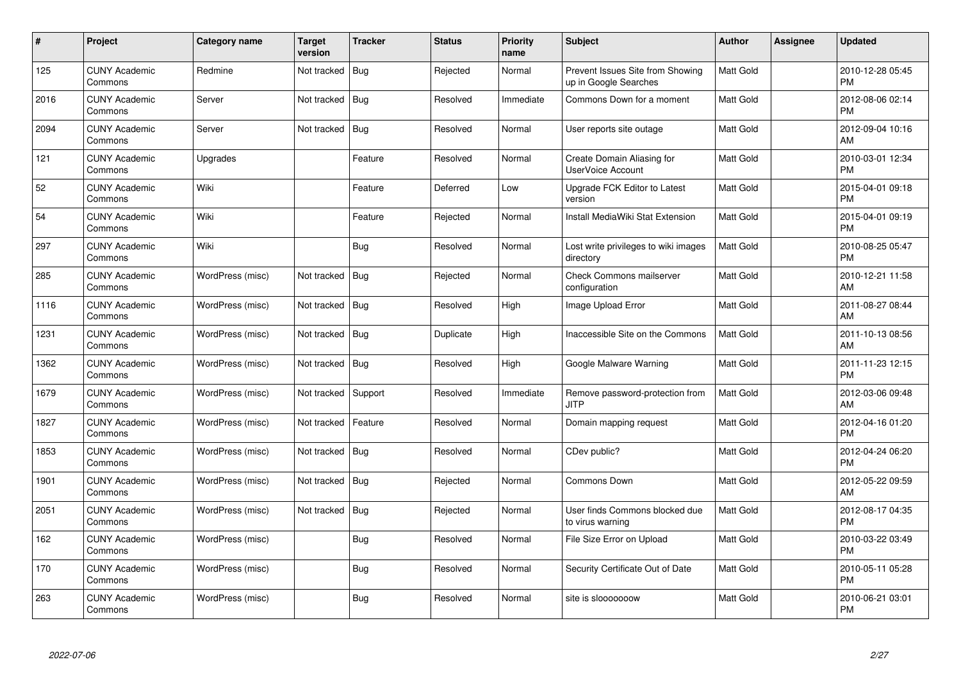| $\#$ | Project                         | Category name    | <b>Target</b><br>version | <b>Tracker</b> | <b>Status</b> | <b>Priority</b><br>name | <b>Subject</b>                                            | <b>Author</b> | <b>Assignee</b> | <b>Updated</b>                |
|------|---------------------------------|------------------|--------------------------|----------------|---------------|-------------------------|-----------------------------------------------------------|---------------|-----------------|-------------------------------|
| 125  | <b>CUNY Academic</b><br>Commons | Redmine          | Not tracked              | <b>Bug</b>     | Rejected      | Normal                  | Prevent Issues Site from Showing<br>up in Google Searches | Matt Gold     |                 | 2010-12-28 05:45<br><b>PM</b> |
| 2016 | <b>CUNY Academic</b><br>Commons | Server           | Not tracked              | Bug            | Resolved      | Immediate               | Commons Down for a moment                                 | Matt Gold     |                 | 2012-08-06 02:14<br><b>PM</b> |
| 2094 | <b>CUNY Academic</b><br>Commons | Server           | Not tracked              | Bug            | Resolved      | Normal                  | User reports site outage                                  | Matt Gold     |                 | 2012-09-04 10:16<br>AM        |
| 121  | <b>CUNY Academic</b><br>Commons | Upgrades         |                          | Feature        | Resolved      | Normal                  | Create Domain Aliasing for<br>UserVoice Account           | Matt Gold     |                 | 2010-03-01 12:34<br><b>PM</b> |
| 52   | <b>CUNY Academic</b><br>Commons | Wiki             |                          | Feature        | Deferred      | Low                     | Upgrade FCK Editor to Latest<br>version                   | Matt Gold     |                 | 2015-04-01 09:18<br><b>PM</b> |
| 54   | <b>CUNY Academic</b><br>Commons | Wiki             |                          | Feature        | Rejected      | Normal                  | Install MediaWiki Stat Extension                          | Matt Gold     |                 | 2015-04-01 09:19<br><b>PM</b> |
| 297  | <b>CUNY Academic</b><br>Commons | Wiki             |                          | <b>Bug</b>     | Resolved      | Normal                  | Lost write privileges to wiki images<br>directory         | Matt Gold     |                 | 2010-08-25 05:47<br><b>PM</b> |
| 285  | <b>CUNY Academic</b><br>Commons | WordPress (misc) | Not tracked              | Bug            | Rejected      | Normal                  | Check Commons mailserver<br>configuration                 | Matt Gold     |                 | 2010-12-21 11:58<br>AM        |
| 1116 | <b>CUNY Academic</b><br>Commons | WordPress (misc) | Not tracked   Bug        |                | Resolved      | High                    | Image Upload Error                                        | Matt Gold     |                 | 2011-08-27 08:44<br>AM        |
| 1231 | <b>CUNY Academic</b><br>Commons | WordPress (misc) | Not tracked              | Bug            | Duplicate     | High                    | Inaccessible Site on the Commons                          | Matt Gold     |                 | 2011-10-13 08:56<br>AM        |
| 1362 | <b>CUNY Academic</b><br>Commons | WordPress (misc) | Not tracked   Bug        |                | Resolved      | High                    | Google Malware Warning                                    | Matt Gold     |                 | 2011-11-23 12:15<br><b>PM</b> |
| 1679 | <b>CUNY Academic</b><br>Commons | WordPress (misc) | Not tracked              | Support        | Resolved      | Immediate               | Remove password-protection from<br><b>JITP</b>            | Matt Gold     |                 | 2012-03-06 09:48<br>AM        |
| 1827 | <b>CUNY Academic</b><br>Commons | WordPress (misc) | Not tracked              | Feature        | Resolved      | Normal                  | Domain mapping request                                    | Matt Gold     |                 | 2012-04-16 01:20<br><b>PM</b> |
| 1853 | <b>CUNY Academic</b><br>Commons | WordPress (misc) | Not tracked              | Bug            | Resolved      | Normal                  | CDev public?                                              | Matt Gold     |                 | 2012-04-24 06:20<br><b>PM</b> |
| 1901 | <b>CUNY Academic</b><br>Commons | WordPress (misc) | Not tracked   Bug        |                | Rejected      | Normal                  | <b>Commons Down</b>                                       | Matt Gold     |                 | 2012-05-22 09:59<br>AM        |
| 2051 | <b>CUNY Academic</b><br>Commons | WordPress (misc) | Not tracked              | Bug            | Rejected      | Normal                  | User finds Commons blocked due<br>to virus warning        | Matt Gold     |                 | 2012-08-17 04:35<br><b>PM</b> |
| 162  | <b>CUNY Academic</b><br>Commons | WordPress (misc) |                          | <b>Bug</b>     | Resolved      | Normal                  | File Size Error on Upload                                 | Matt Gold     |                 | 2010-03-22 03:49<br><b>PM</b> |
| 170  | <b>CUNY Academic</b><br>Commons | WordPress (misc) |                          | <b>Bug</b>     | Resolved      | Normal                  | Security Certificate Out of Date                          | Matt Gold     |                 | 2010-05-11 05:28<br><b>PM</b> |
| 263  | <b>CUNY Academic</b><br>Commons | WordPress (misc) |                          | Bug            | Resolved      | Normal                  | site is slooooooow                                        | Matt Gold     |                 | 2010-06-21 03:01<br><b>PM</b> |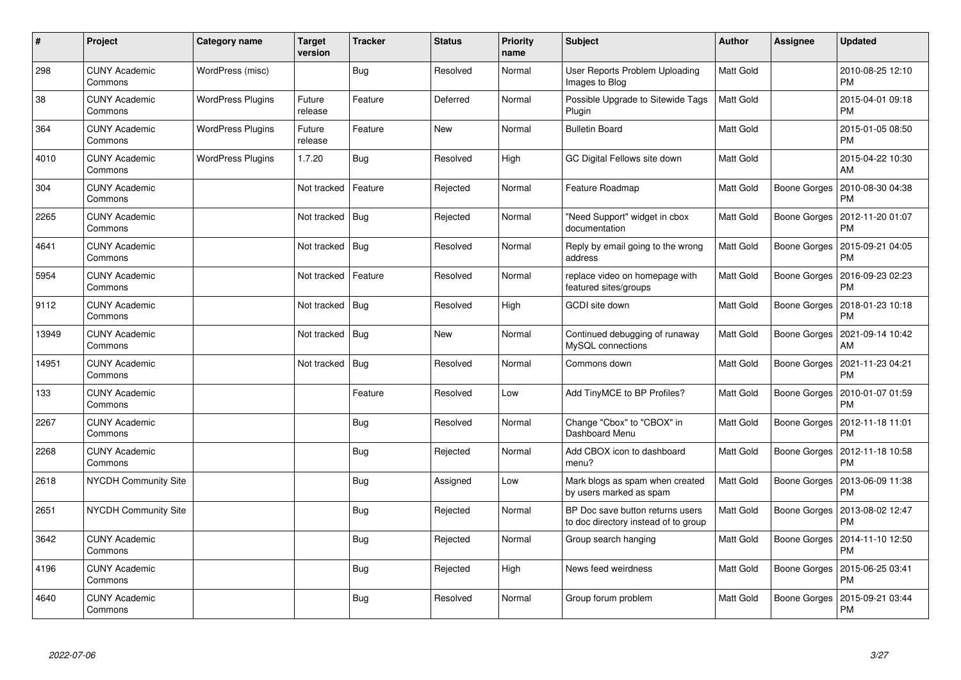| #     | <b>Project</b>                  | Category name            | <b>Target</b><br>version | <b>Tracker</b> | <b>Status</b> | <b>Priority</b><br>name | <b>Subject</b>                                                           | <b>Author</b>    | Assignee            | <b>Updated</b>                |
|-------|---------------------------------|--------------------------|--------------------------|----------------|---------------|-------------------------|--------------------------------------------------------------------------|------------------|---------------------|-------------------------------|
| 298   | <b>CUNY Academic</b><br>Commons | WordPress (misc)         |                          | Bug            | Resolved      | Normal                  | User Reports Problem Uploading<br>Images to Blog                         | Matt Gold        |                     | 2010-08-25 12:10<br><b>PM</b> |
| 38    | <b>CUNY Academic</b><br>Commons | <b>WordPress Plugins</b> | Future<br>release        | Feature        | Deferred      | Normal                  | Possible Upgrade to Sitewide Tags<br>Plugin                              | <b>Matt Gold</b> |                     | 2015-04-01 09:18<br><b>PM</b> |
| 364   | <b>CUNY Academic</b><br>Commons | <b>WordPress Plugins</b> | Future<br>release        | Feature        | <b>New</b>    | Normal                  | <b>Bulletin Board</b>                                                    | Matt Gold        |                     | 2015-01-05 08:50<br><b>PM</b> |
| 4010  | <b>CUNY Academic</b><br>Commons | <b>WordPress Plugins</b> | 1.7.20                   | <b>Bug</b>     | Resolved      | High                    | GC Digital Fellows site down                                             | Matt Gold        |                     | 2015-04-22 10:30<br>AM        |
| 304   | <b>CUNY Academic</b><br>Commons |                          | Not tracked              | Feature        | Rejected      | Normal                  | Feature Roadmap                                                          | <b>Matt Gold</b> | Boone Gorges        | 2010-08-30 04:38<br>PM        |
| 2265  | <b>CUNY Academic</b><br>Commons |                          | Not tracked              | Bug            | Rejected      | Normal                  | "Need Support" widget in cbox<br>documentation                           | Matt Gold        | <b>Boone Gorges</b> | 2012-11-20 01:07<br>PM        |
| 4641  | <b>CUNY Academic</b><br>Commons |                          | Not tracked              | Bug            | Resolved      | Normal                  | Reply by email going to the wrong<br>address                             | <b>Matt Gold</b> | Boone Gorges        | 2015-09-21 04:05<br><b>PM</b> |
| 5954  | <b>CUNY Academic</b><br>Commons |                          | Not tracked              | Feature        | Resolved      | Normal                  | replace video on homepage with<br>featured sites/groups                  | Matt Gold        | Boone Gorges        | 2016-09-23 02:23<br><b>PM</b> |
| 9112  | <b>CUNY Academic</b><br>Commons |                          | Not tracked   Bug        |                | Resolved      | High                    | <b>GCDI</b> site down                                                    | <b>Matt Gold</b> | Boone Gorges        | 2018-01-23 10:18<br><b>PM</b> |
| 13949 | <b>CUNY Academic</b><br>Commons |                          | Not tracked              | <b>Bug</b>     | New           | Normal                  | Continued debugging of runaway<br>MySQL connections                      | <b>Matt Gold</b> | Boone Gorges        | 2021-09-14 10:42<br>AM        |
| 14951 | <b>CUNY Academic</b><br>Commons |                          | Not tracked              | Bug            | Resolved      | Normal                  | Commons down                                                             | <b>Matt Gold</b> | Boone Gorges        | 2021-11-23 04:21<br><b>PM</b> |
| 133   | <b>CUNY Academic</b><br>Commons |                          |                          | Feature        | Resolved      | Low                     | Add TinyMCE to BP Profiles?                                              | Matt Gold        | <b>Boone Gorges</b> | 2010-01-07 01:59<br>PM        |
| 2267  | <b>CUNY Academic</b><br>Commons |                          |                          | <b>Bug</b>     | Resolved      | Normal                  | Change "Cbox" to "CBOX" in<br>Dashboard Menu                             | <b>Matt Gold</b> | Boone Gorges        | 2012-11-18 11:01<br><b>PM</b> |
| 2268  | <b>CUNY Academic</b><br>Commons |                          |                          | <b>Bug</b>     | Rejected      | Normal                  | Add CBOX icon to dashboard<br>menu?                                      | Matt Gold        | <b>Boone Gorges</b> | 2012-11-18 10:58<br>PM        |
| 2618  | <b>NYCDH Community Site</b>     |                          |                          | Bug            | Assigned      | Low                     | Mark blogs as spam when created<br>by users marked as spam               | <b>Matt Gold</b> | Boone Gorges        | 2013-06-09 11:38<br><b>PM</b> |
| 2651  | NYCDH Community Site            |                          |                          | Bug            | Rejected      | Normal                  | BP Doc save button returns users<br>to doc directory instead of to group | Matt Gold        | Boone Gorges        | 2013-08-02 12:47<br><b>PM</b> |
| 3642  | <b>CUNY Academic</b><br>Commons |                          |                          | <b>Bug</b>     | Rejected      | Normal                  | Group search hanging                                                     | Matt Gold        | Boone Gorges        | 2014-11-10 12:50<br><b>PM</b> |
| 4196  | <b>CUNY Academic</b><br>Commons |                          |                          | Bug            | Rejected      | High                    | News feed weirdness                                                      | Matt Gold        | Boone Gorges        | 2015-06-25 03:41<br><b>PM</b> |
| 4640  | <b>CUNY Academic</b><br>Commons |                          |                          | Bug            | Resolved      | Normal                  | Group forum problem                                                      | Matt Gold        | Boone Gorges        | 2015-09-21 03:44<br>PM        |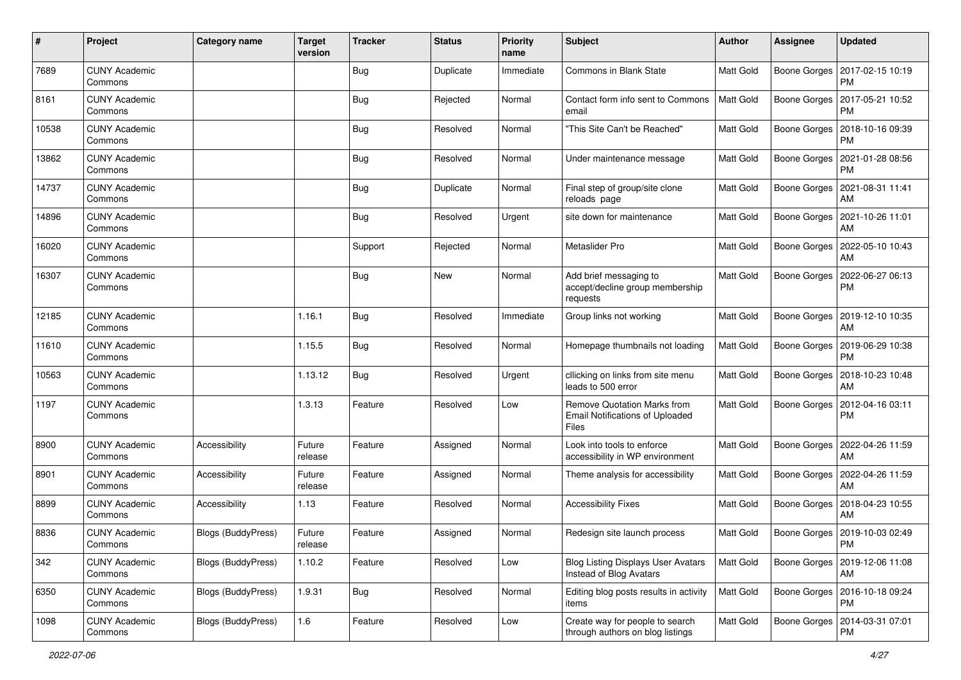| #     | Project                         | <b>Category name</b>      | <b>Target</b><br>version | <b>Tracker</b> | <b>Status</b> | <b>Priority</b><br>name | <b>Subject</b>                                                                 | Author           | <b>Assignee</b>     | <b>Updated</b>                               |
|-------|---------------------------------|---------------------------|--------------------------|----------------|---------------|-------------------------|--------------------------------------------------------------------------------|------------------|---------------------|----------------------------------------------|
| 7689  | <b>CUNY Academic</b><br>Commons |                           |                          | <b>Bug</b>     | Duplicate     | Immediate               | Commons in Blank State                                                         | Matt Gold        | Boone Gorges        | 2017-02-15 10:19<br><b>PM</b>                |
| 8161  | <b>CUNY Academic</b><br>Commons |                           |                          | Bug            | Rejected      | Normal                  | Contact form info sent to Commons<br>email                                     | Matt Gold        |                     | Boone Gorges   2017-05-21 10:52<br><b>PM</b> |
| 10538 | <b>CUNY Academic</b><br>Commons |                           |                          | Bug            | Resolved      | Normal                  | "This Site Can't be Reached"                                                   | Matt Gold        | Boone Gorges        | 2018-10-16 09:39<br><b>PM</b>                |
| 13862 | <b>CUNY Academic</b><br>Commons |                           |                          | Bug            | Resolved      | Normal                  | Under maintenance message                                                      | Matt Gold        | <b>Boone Gorges</b> | 2021-01-28 08:56<br><b>PM</b>                |
| 14737 | <b>CUNY Academic</b><br>Commons |                           |                          | Bug            | Duplicate     | Normal                  | Final step of group/site clone<br>reloads page                                 | Matt Gold        | Boone Gorges        | 2021-08-31 11:41<br>AM                       |
| 14896 | <b>CUNY Academic</b><br>Commons |                           |                          | Bug            | Resolved      | Urgent                  | site down for maintenance                                                      | Matt Gold        |                     | Boone Gorges   2021-10-26 11:01<br>AM        |
| 16020 | <b>CUNY Academic</b><br>Commons |                           |                          | Support        | Rejected      | Normal                  | Metaslider Pro                                                                 | Matt Gold        | Boone Gorges        | 2022-05-10 10:43<br>AM                       |
| 16307 | <b>CUNY Academic</b><br>Commons |                           |                          | <b>Bug</b>     | New           | Normal                  | Add brief messaging to<br>accept/decline group membership<br>requests          | Matt Gold        | Boone Gorges        | 2022-06-27 06:13<br><b>PM</b>                |
| 12185 | <b>CUNY Academic</b><br>Commons |                           | 1.16.1                   | <b>Bug</b>     | Resolved      | Immediate               | Group links not working                                                        | Matt Gold        | Boone Gorges        | 2019-12-10 10:35<br>AM                       |
| 11610 | <b>CUNY Academic</b><br>Commons |                           | 1.15.5                   | <b>Bug</b>     | Resolved      | Normal                  | Homepage thumbnails not loading                                                | Matt Gold        | Boone Gorges        | 2019-06-29 10:38<br><b>PM</b>                |
| 10563 | <b>CUNY Academic</b><br>Commons |                           | 1.13.12                  | Bug            | Resolved      | Urgent                  | cllicking on links from site menu<br>leads to 500 error                        | <b>Matt Gold</b> | Boone Gorges        | 2018-10-23 10:48<br>AM                       |
| 1197  | <b>CUNY Academic</b><br>Commons |                           | 1.3.13                   | Feature        | Resolved      | Low                     | Remove Quotation Marks from<br><b>Email Notifications of Uploaded</b><br>Files | Matt Gold        | <b>Boone Gorges</b> | 2012-04-16 03:11<br><b>PM</b>                |
| 8900  | <b>CUNY Academic</b><br>Commons | Accessibility             | Future<br>release        | Feature        | Assigned      | Normal                  | Look into tools to enforce<br>accessibility in WP environment                  | Matt Gold        | Boone Gorges        | 2022-04-26 11:59<br>AM                       |
| 8901  | <b>CUNY Academic</b><br>Commons | Accessibility             | Future<br>release        | Feature        | Assigned      | Normal                  | Theme analysis for accessibility                                               | Matt Gold        | Boone Gorges        | 2022-04-26 11:59<br>AM                       |
| 8899  | <b>CUNY Academic</b><br>Commons | Accessibility             | 1.13                     | Feature        | Resolved      | Normal                  | <b>Accessibility Fixes</b>                                                     | Matt Gold        |                     | Boone Gorges   2018-04-23 10:55<br>AM        |
| 8836  | <b>CUNY Academic</b><br>Commons | <b>Blogs (BuddyPress)</b> | Future<br>release        | Feature        | Assigned      | Normal                  | Redesign site launch process                                                   | Matt Gold        |                     | Boone Gorges   2019-10-03 02:49<br>PM        |
| 342   | <b>CUNY Academic</b><br>Commons | <b>Blogs (BuddyPress)</b> | 1.10.2                   | Feature        | Resolved      | Low                     | <b>Blog Listing Displays User Avatars</b><br>Instead of Blog Avatars           | Matt Gold        |                     | Boone Gorges   2019-12-06 11:08<br>AM        |
| 6350  | <b>CUNY Academic</b><br>Commons | Blogs (BuddyPress)        | 1.9.31                   | <b>Bug</b>     | Resolved      | Normal                  | Editing blog posts results in activity<br>items                                | Matt Gold        | Boone Gorges        | 2016-10-18 09:24<br><b>PM</b>                |
| 1098  | <b>CUNY Academic</b><br>Commons | Blogs (BuddyPress)        | 1.6                      | Feature        | Resolved      | Low                     | Create way for people to search<br>through authors on blog listings            | Matt Gold        | Boone Gorges        | 2014-03-31 07:01<br><b>PM</b>                |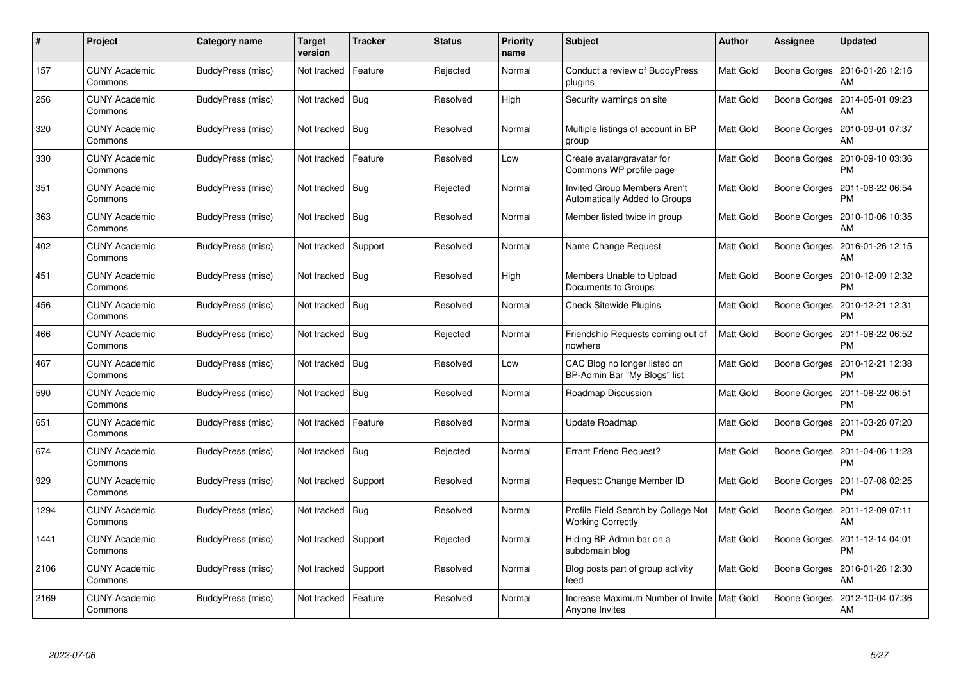| #    | Project                         | Category name     | <b>Target</b><br>version | <b>Tracker</b> | <b>Status</b> | <b>Priority</b><br>name | <b>Subject</b>                                                       | <b>Author</b>    | Assignee     | <b>Updated</b>                |
|------|---------------------------------|-------------------|--------------------------|----------------|---------------|-------------------------|----------------------------------------------------------------------|------------------|--------------|-------------------------------|
| 157  | <b>CUNY Academic</b><br>Commons | BuddyPress (misc) | Not tracked              | Feature        | Rejected      | Normal                  | Conduct a review of BuddyPress<br>plugins                            | Matt Gold        | Boone Gorges | 2016-01-26 12:16<br>AM        |
| 256  | <b>CUNY Academic</b><br>Commons | BuddyPress (misc) | Not tracked              | Bug            | Resolved      | High                    | Security warnings on site                                            | Matt Gold        | Boone Gorges | 2014-05-01 09:23<br>AM        |
| 320  | <b>CUNY Academic</b><br>Commons | BuddyPress (misc) | Not tracked              | <b>Bug</b>     | Resolved      | Normal                  | Multiple listings of account in BP<br>group                          | Matt Gold        | Boone Gorges | 2010-09-01 07:37<br>AM        |
| 330  | <b>CUNY Academic</b><br>Commons | BuddyPress (misc) | Not tracked              | Feature        | Resolved      | Low                     | Create avatar/gravatar for<br>Commons WP profile page                | Matt Gold        | Boone Gorges | 2010-09-10 03:36<br>PM        |
| 351  | <b>CUNY Academic</b><br>Commons | BuddyPress (misc) | Not tracked   Bug        |                | Rejected      | Normal                  | <b>Invited Group Members Aren't</b><br>Automatically Added to Groups | <b>Matt Gold</b> | Boone Gorges | 2011-08-22 06:54<br><b>PM</b> |
| 363  | <b>CUNY Academic</b><br>Commons | BuddyPress (misc) | Not tracked              | Bug            | Resolved      | Normal                  | Member listed twice in group                                         | Matt Gold        | Boone Gorges | 2010-10-06 10:35<br>AM        |
| 402  | <b>CUNY Academic</b><br>Commons | BuddyPress (misc) | Not tracked              | Support        | Resolved      | Normal                  | Name Change Request                                                  | Matt Gold        | Boone Gorges | 2016-01-26 12:15<br>AM        |
| 451  | <b>CUNY Academic</b><br>Commons | BuddyPress (misc) | Not tracked              | Bug            | Resolved      | High                    | Members Unable to Upload<br>Documents to Groups                      | Matt Gold        | Boone Gorges | 2010-12-09 12:32<br>PM        |
| 456  | <b>CUNY Academic</b><br>Commons | BuddyPress (misc) | Not tracked   Bug        |                | Resolved      | Normal                  | <b>Check Sitewide Plugins</b>                                        | <b>Matt Gold</b> | Boone Gorges | 2010-12-21 12:31<br><b>PM</b> |
| 466  | <b>CUNY Academic</b><br>Commons | BuddyPress (misc) | Not tracked              | <b>Bug</b>     | Rejected      | Normal                  | Friendship Requests coming out of<br>nowhere                         | <b>Matt Gold</b> | Boone Gorges | 2011-08-22 06:52<br>PM        |
| 467  | <b>CUNY Academic</b><br>Commons | BuddyPress (misc) | Not tracked   Bug        |                | Resolved      | Low                     | CAC Blog no longer listed on<br>BP-Admin Bar "My Blogs" list         | Matt Gold        | Boone Gorges | 2010-12-21 12:38<br>PM        |
| 590  | <b>CUNY Academic</b><br>Commons | BuddyPress (misc) | Not tracked   Bug        |                | Resolved      | Normal                  | Roadmap Discussion                                                   | Matt Gold        | Boone Gorges | 2011-08-22 06:51<br>PM        |
| 651  | <b>CUNY Academic</b><br>Commons | BuddyPress (misc) | Not tracked              | Feature        | Resolved      | Normal                  | Update Roadmap                                                       | Matt Gold        | Boone Gorges | 2011-03-26 07:20<br><b>PM</b> |
| 674  | <b>CUNY Academic</b><br>Commons | BuddyPress (misc) | Not tracked              | <b>Bug</b>     | Rejected      | Normal                  | <b>Errant Friend Request?</b>                                        | Matt Gold        | Boone Gorges | 2011-04-06 11:28<br>PM        |
| 929  | <b>CUNY Academic</b><br>Commons | BuddyPress (misc) | Not tracked              | Support        | Resolved      | Normal                  | Request: Change Member ID                                            | Matt Gold        | Boone Gorges | 2011-07-08 02:25<br>PM        |
| 1294 | <b>CUNY Academic</b><br>Commons | BuddyPress (misc) | Not tracked   Bug        |                | Resolved      | Normal                  | Profile Field Search by College Not<br><b>Working Correctly</b>      | <b>Matt Gold</b> | Boone Gorges | 2011-12-09 07:11<br>AM        |
| 1441 | <b>CUNY Academic</b><br>Commons | BuddyPress (misc) | Not tracked              | Support        | Rejected      | Normal                  | Hiding BP Admin bar on a<br>subdomain blog                           | Matt Gold        | Boone Gorges | 2011-12-14 04:01<br><b>PM</b> |
| 2106 | <b>CUNY Academic</b><br>Commons | BuddyPress (misc) | Not tracked              | Support        | Resolved      | Normal                  | Blog posts part of group activity<br>feed                            | Matt Gold        | Boone Gorges | 2016-01-26 12:30<br>AM        |
| 2169 | CUNY Academic<br>Commons        | BuddyPress (misc) | Not tracked              | Feature        | Resolved      | Normal                  | Increase Maximum Number of Invite   Matt Gold<br>Anyone Invites      |                  | Boone Gorges | 2012-10-04 07:36<br>AM        |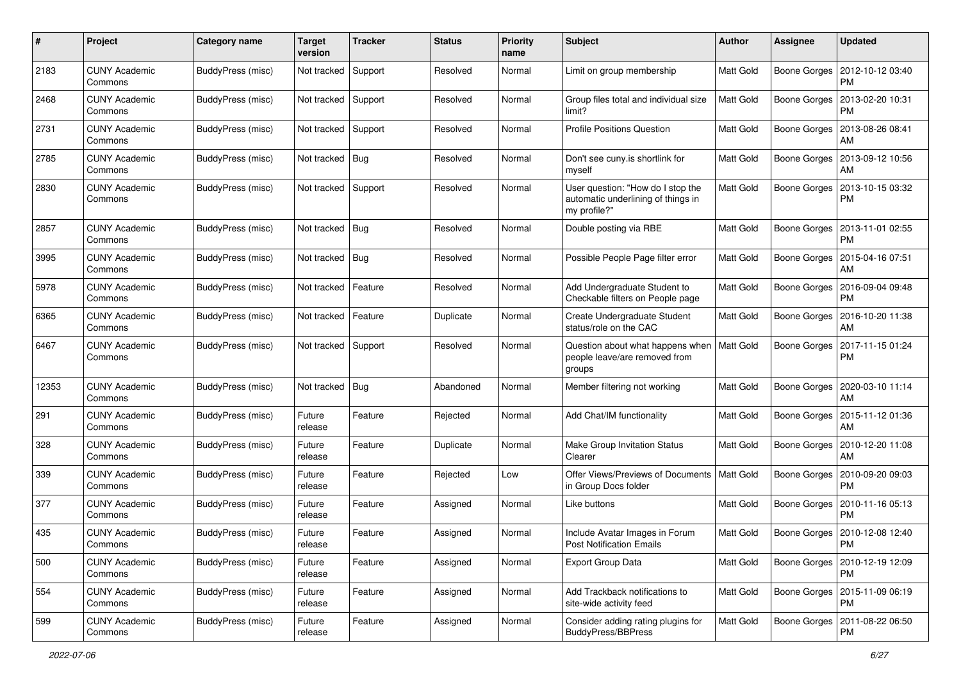| #     | Project                         | Category name            | <b>Target</b><br>version | <b>Tracker</b> | <b>Status</b> | Priority<br>name | <b>Subject</b>                                                                          | Author           | <b>Assignee</b>     | <b>Updated</b>                               |
|-------|---------------------------------|--------------------------|--------------------------|----------------|---------------|------------------|-----------------------------------------------------------------------------------------|------------------|---------------------|----------------------------------------------|
| 2183  | <b>CUNY Academic</b><br>Commons | <b>BuddyPress (misc)</b> | Not tracked              | Support        | Resolved      | Normal           | Limit on group membership                                                               | Matt Gold        | <b>Boone Gorges</b> | 2012-10-12 03:40<br><b>PM</b>                |
| 2468  | <b>CUNY Academic</b><br>Commons | BuddyPress (misc)        | Not tracked              | Support        | Resolved      | Normal           | Group files total and individual size<br>limit?                                         | Matt Gold        |                     | Boone Gorges   2013-02-20 10:31<br><b>PM</b> |
| 2731  | CUNY Academic<br>Commons        | BuddyPress (misc)        | Not tracked              | Support        | Resolved      | Normal           | <b>Profile Positions Question</b>                                                       | <b>Matt Gold</b> | Boone Gorges        | 2013-08-26 08:41<br>AM                       |
| 2785  | <b>CUNY Academic</b><br>Commons | BuddyPress (misc)        | Not tracked              | <b>Bug</b>     | Resolved      | Normal           | Don't see cuny.is shortlink for<br>myself                                               | Matt Gold        | <b>Boone Gorges</b> | 2013-09-12 10:56<br>AM                       |
| 2830  | <b>CUNY Academic</b><br>Commons | BuddyPress (misc)        | Not tracked              | Support        | Resolved      | Normal           | User question: "How do I stop the<br>automatic underlining of things in<br>my profile?" | Matt Gold        | Boone Gorges        | 2013-10-15 03:32<br><b>PM</b>                |
| 2857  | <b>CUNY Academic</b><br>Commons | BuddyPress (misc)        | Not tracked              | <b>Bug</b>     | Resolved      | Normal           | Double posting via RBE                                                                  | <b>Matt Gold</b> | Boone Gorges        | 2013-11-01 02:55<br><b>PM</b>                |
| 3995  | <b>CUNY Academic</b><br>Commons | BuddyPress (misc)        | Not tracked              | Big            | Resolved      | Normal           | Possible People Page filter error                                                       | <b>Matt Gold</b> | Boone Gorges        | 2015-04-16 07:51<br>AM                       |
| 5978  | <b>CUNY Academic</b><br>Commons | BuddyPress (misc)        | Not tracked              | Feature        | Resolved      | Normal           | Add Undergraduate Student to<br>Checkable filters on People page                        | <b>Matt Gold</b> | Boone Gorges        | 2016-09-04 09:48<br>PM                       |
| 6365  | <b>CUNY Academic</b><br>Commons | BuddyPress (misc)        | Not tracked              | Feature        | Duplicate     | Normal           | Create Undergraduate Student<br>status/role on the CAC                                  | Matt Gold        | Boone Gorges        | 2016-10-20 11:38<br>AM                       |
| 6467  | <b>CUNY Academic</b><br>Commons | BuddyPress (misc)        | Not tracked              | Support        | Resolved      | Normal           | Question about what happens when   Matt Gold<br>people leave/are removed from<br>groups |                  | Boone Gorges        | 2017-11-15 01:24<br><b>PM</b>                |
| 12353 | <b>CUNY Academic</b><br>Commons | BuddyPress (misc)        | Not tracked              | <b>Bug</b>     | Abandoned     | Normal           | Member filtering not working                                                            | <b>Matt Gold</b> | Boone Gorges        | 2020-03-10 11:14<br>AM                       |
| 291   | <b>CUNY Academic</b><br>Commons | BuddyPress (misc)        | Future<br>release        | Feature        | Rejected      | Normal           | Add Chat/IM functionality                                                               | <b>Matt Gold</b> | Boone Gorges        | 2015-11-12 01:36<br>AM                       |
| 328   | <b>CUNY Academic</b><br>Commons | BuddyPress (misc)        | Future<br>release        | Feature        | Duplicate     | Normal           | Make Group Invitation Status<br>Clearer                                                 | <b>Matt Gold</b> | Boone Gorges        | 2010-12-20 11:08<br>AM                       |
| 339   | <b>CUNY Academic</b><br>Commons | BuddyPress (misc)        | Future<br>release        | Feature        | Rejected      | Low              | Offer Views/Previews of Documents   Matt Gold<br>in Group Docs folder                   |                  | <b>Boone Gorges</b> | 2010-09-20 09:03<br><b>PM</b>                |
| 377   | <b>CUNY Academic</b><br>Commons | BuddyPress (misc)        | Future<br>release        | Feature        | Assigned      | Normal           | Like buttons                                                                            | <b>Matt Gold</b> |                     | Boone Gorges   2010-11-16 05:13<br><b>PM</b> |
| 435   | <b>CUNY Academic</b><br>Commons | BuddyPress (misc)        | Future<br>release        | Feature        | Assigned      | Normal           | Include Avatar Images in Forum<br><b>Post Notification Emails</b>                       | <b>Matt Gold</b> | Boone Gorges        | 2010-12-08 12:40<br>PM                       |
| 500   | <b>CUNY Academic</b><br>Commons | BuddyPress (misc)        | Future<br>release        | Feature        | Assigned      | Normal           | <b>Export Group Data</b>                                                                | <b>Matt Gold</b> |                     | Boone Gorges   2010-12-19 12:09<br><b>PM</b> |
| 554   | <b>CUNY Academic</b><br>Commons | BuddyPress (misc)        | Future<br>release        | Feature        | Assigned      | Normal           | Add Trackback notifications to<br>site-wide activity feed                               | <b>Matt Gold</b> |                     | Boone Gorges   2015-11-09 06:19<br><b>PM</b> |
| 599   | <b>CUNY Academic</b><br>Commons | BuddyPress (misc)        | Future<br>release        | Feature        | Assigned      | Normal           | Consider adding rating plugins for<br>BuddyPress/BBPress                                | Matt Gold        | Boone Gorges        | 2011-08-22 06:50<br>PM                       |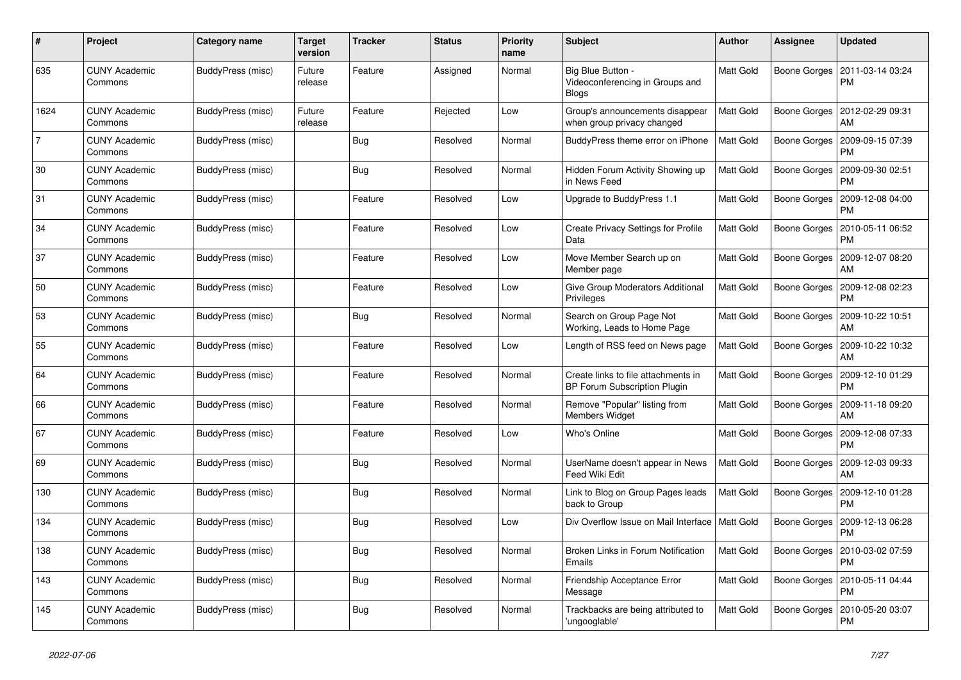| $\#$           | Project                         | Category name     | <b>Target</b><br>version | <b>Tracker</b> | <b>Status</b> | <b>Priority</b><br>name | <b>Subject</b>                                                             | <b>Author</b>    | <b>Assignee</b> | <b>Updated</b>                |
|----------------|---------------------------------|-------------------|--------------------------|----------------|---------------|-------------------------|----------------------------------------------------------------------------|------------------|-----------------|-------------------------------|
| 635            | <b>CUNY Academic</b><br>Commons | BuddyPress (misc) | Future<br>release        | Feature        | Assigned      | Normal                  | Big Blue Button -<br>Videoconferencing in Groups and<br><b>Blogs</b>       | <b>Matt Gold</b> | Boone Gorges    | 2011-03-14 03:24<br><b>PM</b> |
| 1624           | <b>CUNY Academic</b><br>Commons | BuddyPress (misc) | Future<br>release        | Feature        | Rejected      | Low                     | Group's announcements disappear<br>when group privacy changed              | <b>Matt Gold</b> | Boone Gorges    | 2012-02-29 09:31<br>AM        |
| $\overline{7}$ | <b>CUNY Academic</b><br>Commons | BuddyPress (misc) |                          | <b>Bug</b>     | Resolved      | Normal                  | BuddyPress theme error on iPhone                                           | Matt Gold        | Boone Gorges    | 2009-09-15 07:39<br>PM        |
| 30             | <b>CUNY Academic</b><br>Commons | BuddyPress (misc) |                          | Bug            | Resolved      | Normal                  | Hidden Forum Activity Showing up<br>in News Feed                           | <b>Matt Gold</b> | Boone Gorges    | 2009-09-30 02:51<br>PM        |
| 31             | <b>CUNY Academic</b><br>Commons | BuddyPress (misc) |                          | Feature        | Resolved      | Low                     | Upgrade to BuddyPress 1.1                                                  | Matt Gold        | Boone Gorges    | 2009-12-08 04:00<br><b>PM</b> |
| 34             | <b>CUNY Academic</b><br>Commons | BuddyPress (misc) |                          | Feature        | Resolved      | Low                     | <b>Create Privacy Settings for Profile</b><br>Data                         | Matt Gold        | Boone Gorges    | 2010-05-11 06:52<br><b>PM</b> |
| 37             | <b>CUNY Academic</b><br>Commons | BuddyPress (misc) |                          | Feature        | Resolved      | Low                     | Move Member Search up on<br>Member page                                    | <b>Matt Gold</b> | Boone Gorges    | 2009-12-07 08:20<br>AM        |
| 50             | <b>CUNY Academic</b><br>Commons | BuddyPress (misc) |                          | Feature        | Resolved      | Low                     | Give Group Moderators Additional<br>Privileges                             | Matt Gold        | Boone Gorges    | 2009-12-08 02:23<br>PM        |
| 53             | <b>CUNY Academic</b><br>Commons | BuddyPress (misc) |                          | Bug            | Resolved      | Normal                  | Search on Group Page Not<br>Working, Leads to Home Page                    | Matt Gold        | Boone Gorges    | 2009-10-22 10:51<br>AM        |
| 55             | <b>CUNY Academic</b><br>Commons | BuddyPress (misc) |                          | Feature        | Resolved      | Low                     | Length of RSS feed on News page                                            | Matt Gold        | Boone Gorges    | 2009-10-22 10:32<br>AM        |
| 64             | <b>CUNY Academic</b><br>Commons | BuddyPress (misc) |                          | Feature        | Resolved      | Normal                  | Create links to file attachments in<br><b>BP Forum Subscription Plugin</b> | <b>Matt Gold</b> | Boone Gorges    | 2009-12-10 01:29<br>PM        |
| 66             | <b>CUNY Academic</b><br>Commons | BuddyPress (misc) |                          | Feature        | Resolved      | Normal                  | Remove "Popular" listing from<br><b>Members Widget</b>                     | <b>Matt Gold</b> | Boone Gorges    | 2009-11-18 09:20<br>AM        |
| 67             | <b>CUNY Academic</b><br>Commons | BuddyPress (misc) |                          | Feature        | Resolved      | Low                     | Who's Online                                                               | <b>Matt Gold</b> | Boone Gorges    | 2009-12-08 07:33<br><b>PM</b> |
| 69             | <b>CUNY Academic</b><br>Commons | BuddyPress (misc) |                          | <b>Bug</b>     | Resolved      | Normal                  | UserName doesn't appear in News<br>Feed Wiki Edit                          | Matt Gold        | Boone Gorges    | 2009-12-03 09:33<br>AM        |
| 130            | <b>CUNY Academic</b><br>Commons | BuddyPress (misc) |                          | Bug            | Resolved      | Normal                  | Link to Blog on Group Pages leads<br>back to Group                         | <b>Matt Gold</b> | Boone Gorges    | 2009-12-10 01:28<br><b>PM</b> |
| 134            | <b>CUNY Academic</b><br>Commons | BuddyPress (misc) |                          | Bug            | Resolved      | Low                     | Div Overflow Issue on Mail Interface   Matt Gold                           |                  | Boone Gorges    | 2009-12-13 06:28<br>PM        |
| 138            | <b>CUNY Academic</b><br>Commons | BuddyPress (misc) |                          | Bug            | Resolved      | Normal                  | Broken Links in Forum Notification<br>Emails                               | Matt Gold        | Boone Gorges    | 2010-03-02 07:59<br>PM        |
| 143            | <b>CUNY Academic</b><br>Commons | BuddyPress (misc) |                          | Bug            | Resolved      | Normal                  | Friendship Acceptance Error<br>Message                                     | <b>Matt Gold</b> | Boone Gorges    | 2010-05-11 04:44<br><b>PM</b> |
| 145            | <b>CUNY Academic</b><br>Commons | BuddyPress (misc) |                          | Bug            | Resolved      | Normal                  | Trackbacks are being attributed to<br>'ungooglable'                        | Matt Gold        | Boone Gorges    | 2010-05-20 03:07<br><b>PM</b> |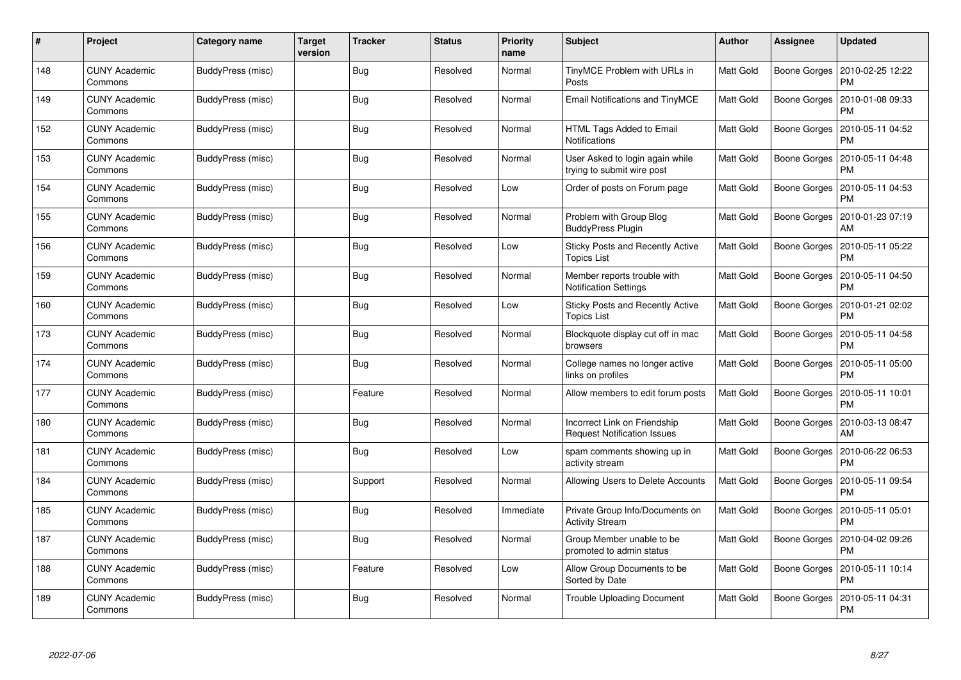| #   | Project                         | Category name     | Target<br>version | <b>Tracker</b> | <b>Status</b> | <b>Priority</b><br>name | <b>Subject</b>                                                     | <b>Author</b>    | Assignee            | <b>Updated</b>                |
|-----|---------------------------------|-------------------|-------------------|----------------|---------------|-------------------------|--------------------------------------------------------------------|------------------|---------------------|-------------------------------|
| 148 | <b>CUNY Academic</b><br>Commons | BuddyPress (misc) |                   | <b>Bug</b>     | Resolved      | Normal                  | TinyMCE Problem with URLs in<br>Posts                              | Matt Gold        | Boone Gorges        | 2010-02-25 12:22<br><b>PM</b> |
| 149 | <b>CUNY Academic</b><br>Commons | BuddyPress (misc) |                   | Bug            | Resolved      | Normal                  | Email Notifications and TinyMCE                                    | <b>Matt Gold</b> | <b>Boone Gorges</b> | 2010-01-08 09:33<br><b>PM</b> |
| 152 | <b>CUNY Academic</b><br>Commons | BuddyPress (misc) |                   | <b>Bug</b>     | Resolved      | Normal                  | HTML Tags Added to Email<br><b>Notifications</b>                   | Matt Gold        | Boone Gorges        | 2010-05-11 04:52<br>PM        |
| 153 | <b>CUNY Academic</b><br>Commons | BuddyPress (misc) |                   | <b>Bug</b>     | Resolved      | Normal                  | User Asked to login again while<br>trying to submit wire post      | Matt Gold        | Boone Gorges        | 2010-05-11 04:48<br>PM        |
| 154 | <b>CUNY Academic</b><br>Commons | BuddyPress (misc) |                   | Bug            | Resolved      | Low                     | Order of posts on Forum page                                       | <b>Matt Gold</b> | Boone Gorges        | 2010-05-11 04:53<br><b>PM</b> |
| 155 | <b>CUNY Academic</b><br>Commons | BuddyPress (misc) |                   | Bug            | Resolved      | Normal                  | Problem with Group Blog<br><b>BuddyPress Plugin</b>                | Matt Gold        | Boone Gorges        | 2010-01-23 07:19<br>AM        |
| 156 | <b>CUNY Academic</b><br>Commons | BuddyPress (misc) |                   | <b>Bug</b>     | Resolved      | Low                     | Sticky Posts and Recently Active<br><b>Topics List</b>             | Matt Gold        | Boone Gorges        | 2010-05-11 05:22<br><b>PM</b> |
| 159 | <b>CUNY Academic</b><br>Commons | BuddyPress (misc) |                   | <b>Bug</b>     | Resolved      | Normal                  | Member reports trouble with<br><b>Notification Settings</b>        | Matt Gold        | Boone Gorges        | 2010-05-11 04:50<br>PM        |
| 160 | <b>CUNY Academic</b><br>Commons | BuddyPress (misc) |                   | Bug            | Resolved      | Low                     | <b>Sticky Posts and Recently Active</b><br><b>Topics List</b>      | <b>Matt Gold</b> | Boone Gorges        | 2010-01-21 02:02<br><b>PM</b> |
| 173 | <b>CUNY Academic</b><br>Commons | BuddyPress (misc) |                   | Bug            | Resolved      | Normal                  | Blockquote display cut off in mac<br>browsers                      | Matt Gold        | Boone Gorges        | 2010-05-11 04:58<br>PM        |
| 174 | <b>CUNY Academic</b><br>Commons | BuddyPress (misc) |                   | <b>Bug</b>     | Resolved      | Normal                  | College names no longer active<br>links on profiles                | Matt Gold        | Boone Gorges        | 2010-05-11 05:00<br>PM        |
| 177 | <b>CUNY Academic</b><br>Commons | BuddyPress (misc) |                   | Feature        | Resolved      | Normal                  | Allow members to edit forum posts                                  | <b>Matt Gold</b> | Boone Gorges        | 2010-05-11 10:01<br>PM        |
| 180 | <b>CUNY Academic</b><br>Commons | BuddyPress (misc) |                   | Bug            | Resolved      | Normal                  | Incorrect Link on Friendship<br><b>Request Notification Issues</b> | Matt Gold        | Boone Gorges        | 2010-03-13 08:47<br>AM        |
| 181 | <b>CUNY Academic</b><br>Commons | BuddyPress (misc) |                   | Bug            | Resolved      | Low                     | spam comments showing up in<br>activity stream                     | Matt Gold        | Boone Gorges        | 2010-06-22 06:53<br>PM        |
| 184 | <b>CUNY Academic</b><br>Commons | BuddyPress (misc) |                   | Support        | Resolved      | Normal                  | Allowing Users to Delete Accounts                                  | Matt Gold        | Boone Gorges        | 2010-05-11 09:54<br>PM        |
| 185 | <b>CUNY Academic</b><br>Commons | BuddyPress (misc) |                   | Bug            | Resolved      | Immediate               | Private Group Info/Documents on<br><b>Activity Stream</b>          | <b>Matt Gold</b> | <b>Boone Gorges</b> | 2010-05-11 05:01<br><b>PM</b> |
| 187 | <b>CUNY Academic</b><br>Commons | BuddyPress (misc) |                   | Bug            | Resolved      | Normal                  | Group Member unable to be<br>promoted to admin status              | Matt Gold        | Boone Gorges        | 2010-04-02 09:26<br><b>PM</b> |
| 188 | <b>CUNY Academic</b><br>Commons | BuddyPress (misc) |                   | Feature        | Resolved      | Low                     | Allow Group Documents to be<br>Sorted by Date                      | Matt Gold        | Boone Gorges        | 2010-05-11 10:14<br>PM        |
| 189 | CUNY Academic<br>Commons        | BuddyPress (misc) |                   | <b>Bug</b>     | Resolved      | Normal                  | <b>Trouble Uploading Document</b>                                  | Matt Gold        | Boone Gorges        | 2010-05-11 04:31<br><b>PM</b> |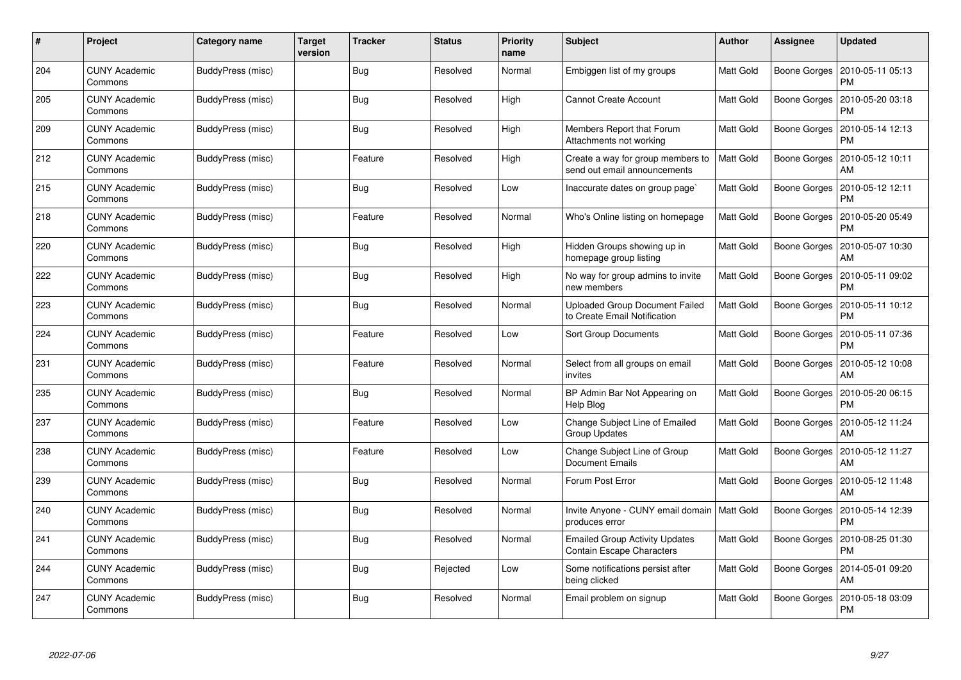| #   | Project                         | Category name     | <b>Target</b><br>version | <b>Tracker</b> | <b>Status</b> | <b>Priority</b><br>name | <b>Subject</b>                                                        | <b>Author</b> | <b>Assignee</b>     | Updated                       |
|-----|---------------------------------|-------------------|--------------------------|----------------|---------------|-------------------------|-----------------------------------------------------------------------|---------------|---------------------|-------------------------------|
| 204 | <b>CUNY Academic</b><br>Commons | BuddyPress (misc) |                          | Bug            | Resolved      | Normal                  | Embiggen list of my groups                                            | Matt Gold     | <b>Boone Gorges</b> | 2010-05-11 05:13<br><b>PM</b> |
| 205 | <b>CUNY Academic</b><br>Commons | BuddyPress (misc) |                          | Bug            | Resolved      | High                    | <b>Cannot Create Account</b>                                          | Matt Gold     | Boone Gorges        | 2010-05-20 03:18<br><b>PM</b> |
| 209 | <b>CUNY Academic</b><br>Commons | BuddyPress (misc) |                          | Bug            | Resolved      | High                    | Members Report that Forum<br>Attachments not working                  | Matt Gold     | <b>Boone Gorges</b> | 2010-05-14 12:13<br><b>PM</b> |
| 212 | <b>CUNY Academic</b><br>Commons | BuddyPress (misc) |                          | Feature        | Resolved      | High                    | Create a way for group members to<br>send out email announcements     | Matt Gold     | Boone Gorges        | 2010-05-12 10:11<br>AM        |
| 215 | <b>CUNY Academic</b><br>Commons | BuddyPress (misc) |                          | Bug            | Resolved      | Low                     | Inaccurate dates on group page`                                       | Matt Gold     | Boone Gorges        | 2010-05-12 12:11<br><b>PM</b> |
| 218 | <b>CUNY Academic</b><br>Commons | BuddyPress (misc) |                          | Feature        | Resolved      | Normal                  | Who's Online listing on homepage                                      | Matt Gold     | Boone Gorges        | 2010-05-20 05:49<br>PM        |
| 220 | <b>CUNY Academic</b><br>Commons | BuddyPress (misc) |                          | <b>Bug</b>     | Resolved      | High                    | Hidden Groups showing up in<br>homepage group listing                 | Matt Gold     | Boone Gorges        | 2010-05-07 10:30<br>AM        |
| 222 | <b>CUNY Academic</b><br>Commons | BuddyPress (misc) |                          | Bug            | Resolved      | High                    | No way for group admins to invite<br>new members                      | Matt Gold     | Boone Gorges        | 2010-05-11 09:02<br><b>PM</b> |
| 223 | <b>CUNY Academic</b><br>Commons | BuddyPress (misc) |                          | Bug            | Resolved      | Normal                  | <b>Uploaded Group Document Failed</b><br>to Create Email Notification | Matt Gold     | Boone Gorges        | 2010-05-11 10:12<br><b>PM</b> |
| 224 | <b>CUNY Academic</b><br>Commons | BuddyPress (misc) |                          | Feature        | Resolved      | Low                     | <b>Sort Group Documents</b>                                           | Matt Gold     | Boone Gorges        | 2010-05-11 07:36<br><b>PM</b> |
| 231 | <b>CUNY Academic</b><br>Commons | BuddyPress (misc) |                          | Feature        | Resolved      | Normal                  | Select from all groups on email<br>invites                            | Matt Gold     | Boone Gorges        | 2010-05-12 10:08<br>AM        |
| 235 | <b>CUNY Academic</b><br>Commons | BuddyPress (misc) |                          | Bug            | Resolved      | Normal                  | BP Admin Bar Not Appearing on<br>Help Blog                            | Matt Gold     | Boone Gorges        | 2010-05-20 06:15<br>PM        |
| 237 | <b>CUNY Academic</b><br>Commons | BuddyPress (misc) |                          | Feature        | Resolved      | Low                     | Change Subject Line of Emailed<br><b>Group Updates</b>                | Matt Gold     | Boone Gorges        | 2010-05-12 11:24<br>AM        |
| 238 | <b>CUNY Academic</b><br>Commons | BuddyPress (misc) |                          | Feature        | Resolved      | Low                     | Change Subject Line of Group<br>Document Emails                       | Matt Gold     | Boone Gorges        | 2010-05-12 11:27<br>AM        |
| 239 | <b>CUNY Academic</b><br>Commons | BuddyPress (misc) |                          | Bug            | Resolved      | Normal                  | Forum Post Error                                                      | Matt Gold     | Boone Gorges        | 2010-05-12 11:48<br>AM        |
| 240 | <b>CUNY Academic</b><br>Commons | BuddyPress (misc) |                          | Bug            | Resolved      | Normal                  | Invite Anyone - CUNY email domain   Matt Gold<br>produces error       |               | <b>Boone Gorges</b> | 2010-05-14 12:39<br><b>PM</b> |
| 241 | <b>CUNY Academic</b><br>Commons | BuddyPress (misc) |                          | <b>Bug</b>     | Resolved      | Normal                  | <b>Emailed Group Activity Updates</b><br>Contain Escape Characters    | Matt Gold     | Boone Gorges        | 2010-08-25 01:30<br><b>PM</b> |
| 244 | <b>CUNY Academic</b><br>Commons | BuddyPress (misc) |                          | Bug            | Rejected      | Low                     | Some notifications persist after<br>being clicked                     | Matt Gold     | <b>Boone Gorges</b> | 2014-05-01 09:20<br>AM        |
| 247 | <b>CUNY Academic</b><br>Commons | BuddyPress (misc) |                          | Bug            | Resolved      | Normal                  | Email problem on signup                                               | Matt Gold     | Boone Gorges        | 2010-05-18 03:09<br><b>PM</b> |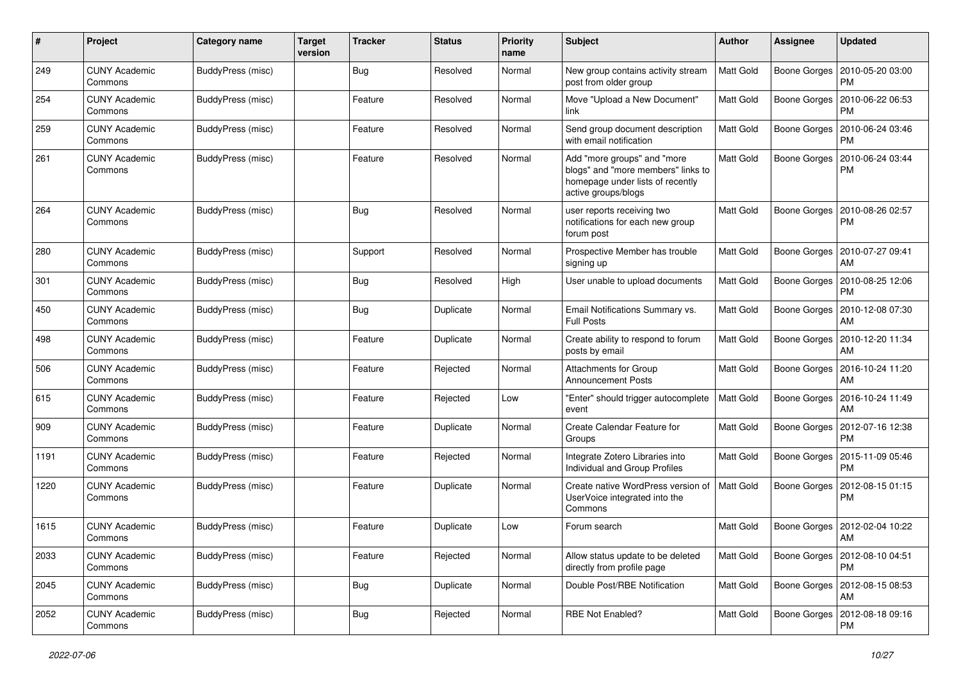| #    | Project                         | <b>Category name</b>     | <b>Target</b><br>version | <b>Tracker</b> | <b>Status</b> | <b>Priority</b><br>name | Subject                                                                                                                      | Author           | <b>Assignee</b>     | <b>Updated</b>                        |
|------|---------------------------------|--------------------------|--------------------------|----------------|---------------|-------------------------|------------------------------------------------------------------------------------------------------------------------------|------------------|---------------------|---------------------------------------|
| 249  | <b>CUNY Academic</b><br>Commons | <b>BuddyPress (misc)</b> |                          | Bug            | Resolved      | Normal                  | New group contains activity stream<br>post from older group                                                                  | <b>Matt Gold</b> | Boone Gorges        | 2010-05-20 03:00<br>PM                |
| 254  | <b>CUNY Academic</b><br>Commons | <b>BuddyPress (misc)</b> |                          | Feature        | Resolved      | Normal                  | Move "Upload a New Document"<br>link                                                                                         | Matt Gold        | Boone Gorges        | 2010-06-22 06:53<br><b>PM</b>         |
| 259  | CUNY Academic<br>Commons        | BuddyPress (misc)        |                          | Feature        | Resolved      | Normal                  | Send group document description<br>with email notification                                                                   | Matt Gold        | Boone Gorges        | 2010-06-24 03:46<br><b>PM</b>         |
| 261  | <b>CUNY Academic</b><br>Commons | BuddyPress (misc)        |                          | Feature        | Resolved      | Normal                  | Add "more groups" and "more<br>blogs" and "more members" links to<br>homepage under lists of recently<br>active groups/blogs | <b>Matt Gold</b> | <b>Boone Gorges</b> | 2010-06-24 03:44<br><b>PM</b>         |
| 264  | <b>CUNY Academic</b><br>Commons | BuddyPress (misc)        |                          | Bug            | Resolved      | Normal                  | user reports receiving two<br>notifications for each new group<br>forum post                                                 | Matt Gold        | Boone Gorges        | 2010-08-26 02:57<br><b>PM</b>         |
| 280  | <b>CUNY Academic</b><br>Commons | BuddyPress (misc)        |                          | Support        | Resolved      | Normal                  | Prospective Member has trouble<br>signing up                                                                                 | Matt Gold        | Boone Gorges        | 2010-07-27 09:41<br>AM                |
| 301  | <b>CUNY Academic</b><br>Commons | BuddyPress (misc)        |                          | Bug            | Resolved      | High                    | User unable to upload documents                                                                                              | <b>Matt Gold</b> | Boone Gorges        | 2010-08-25 12:06<br><b>PM</b>         |
| 450  | <b>CUNY Academic</b><br>Commons | BuddyPress (misc)        |                          | <b>Bug</b>     | Duplicate     | Normal                  | Email Notifications Summary vs.<br><b>Full Posts</b>                                                                         | Matt Gold        | Boone Gorges        | 2010-12-08 07:30<br>AM                |
| 498  | <b>CUNY Academic</b><br>Commons | BuddyPress (misc)        |                          | Feature        | Duplicate     | Normal                  | Create ability to respond to forum<br>posts by email                                                                         | <b>Matt Gold</b> | <b>Boone Gorges</b> | 2010-12-20 11:34<br>AM                |
| 506  | <b>CUNY Academic</b><br>Commons | BuddyPress (misc)        |                          | Feature        | Rejected      | Normal                  | <b>Attachments for Group</b><br><b>Announcement Posts</b>                                                                    | Matt Gold        | <b>Boone Gorges</b> | 2016-10-24 11:20<br>AM                |
| 615  | <b>CUNY Academic</b><br>Commons | BuddyPress (misc)        |                          | Feature        | Rejected      | Low                     | "Enter" should trigger autocomplete<br>event                                                                                 | <b>Matt Gold</b> | <b>Boone Gorges</b> | 2016-10-24 11:49<br>AM                |
| 909  | <b>CUNY Academic</b><br>Commons | BuddyPress (misc)        |                          | Feature        | Duplicate     | Normal                  | Create Calendar Feature for<br>Groups                                                                                        | Matt Gold        | Boone Gorges        | 2012-07-16 12:38<br><b>PM</b>         |
| 1191 | <b>CUNY Academic</b><br>Commons | BuddyPress (misc)        |                          | Feature        | Rejected      | Normal                  | Integrate Zotero Libraries into<br>Individual and Group Profiles                                                             | <b>Matt Gold</b> | Boone Gorges        | 2015-11-09 05:46<br><b>PM</b>         |
| 1220 | <b>CUNY Academic</b><br>Commons | BuddyPress (misc)        |                          | Feature        | Duplicate     | Normal                  | Create native WordPress version of<br>UserVoice integrated into the<br>Commons                                               | <b>Matt Gold</b> | Boone Gorges        | 2012-08-15 01:15<br><b>PM</b>         |
| 1615 | <b>CUNY Academic</b><br>Commons | BuddyPress (misc)        |                          | Feature        | Duplicate     | Low                     | Forum search                                                                                                                 | Matt Gold        | Boone Gorges        | 2012-02-04 10:22<br>AM                |
| 2033 | <b>CUNY Academic</b><br>Commons | <b>BuddyPress (misc)</b> |                          | Feature        | Rejected      | Normal                  | Allow status update to be deleted<br>directly from profile page                                                              | Matt Gold        |                     | Boone Gorges   2012-08-10 04:51<br>PM |
| 2045 | <b>CUNY Academic</b><br>Commons | <b>BuddyPress (misc)</b> |                          | <b>Bug</b>     | Duplicate     | Normal                  | Double Post/RBE Notification                                                                                                 | <b>Matt Gold</b> |                     | Boone Gorges   2012-08-15 08:53<br>AM |
| 2052 | <b>CUNY Academic</b><br>Commons | BuddyPress (misc)        |                          | Bug            | Rejected      | Normal                  | RBE Not Enabled?                                                                                                             | <b>Matt Gold</b> |                     | Boone Gorges   2012-08-18 09:16<br>PM |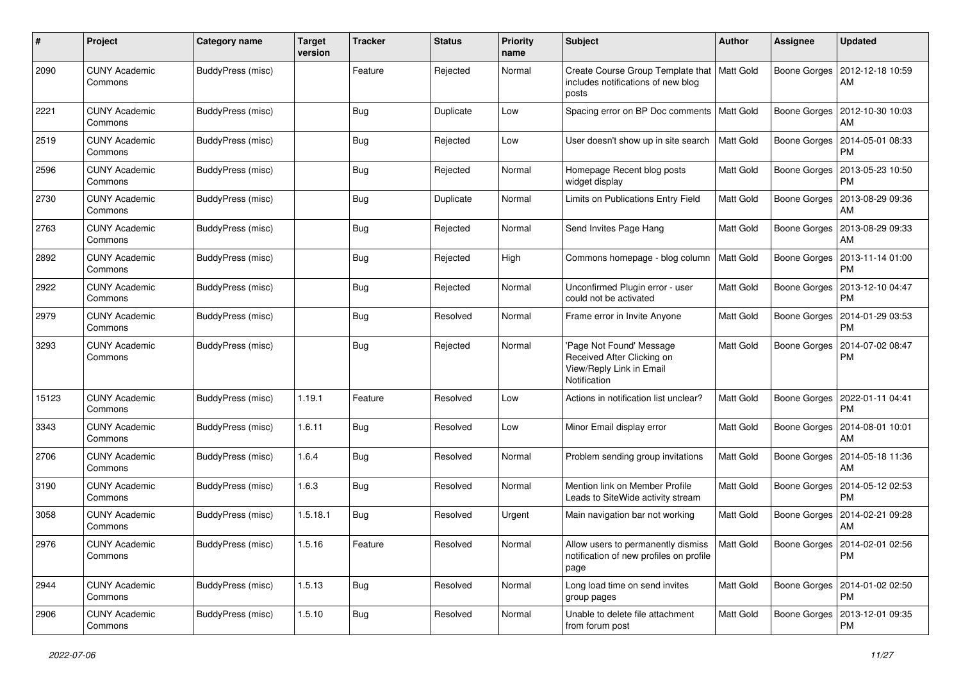| #     | Project                         | Category name     | <b>Target</b><br>version | <b>Tracker</b> | <b>Status</b> | <b>Priority</b><br>name | Subject                                                                                            | Author           | Assignee            | <b>Updated</b>                               |
|-------|---------------------------------|-------------------|--------------------------|----------------|---------------|-------------------------|----------------------------------------------------------------------------------------------------|------------------|---------------------|----------------------------------------------|
| 2090  | <b>CUNY Academic</b><br>Commons | BuddyPress (misc) |                          | Feature        | Rejected      | Normal                  | Create Course Group Template that   Matt Gold<br>includes notifications of new blog<br>posts       |                  | Boone Gorges        | 2012-12-18 10:59<br>AM                       |
| 2221  | <b>CUNY Academic</b><br>Commons | BuddyPress (misc) |                          | Bug            | Duplicate     | Low                     | Spacing error on BP Doc comments   Matt Gold                                                       |                  | Boone Gorges        | 2012-10-30 10:03<br>AM                       |
| 2519  | <b>CUNY Academic</b><br>Commons | BuddyPress (misc) |                          | Bug            | Rejected      | Low                     | User doesn't show up in site search                                                                | <b>Matt Gold</b> | Boone Gorges        | 2014-05-01 08:33<br><b>PM</b>                |
| 2596  | <b>CUNY Academic</b><br>Commons | BuddyPress (misc) |                          | Bug            | Rejected      | Normal                  | Homepage Recent blog posts<br>widget display                                                       | Matt Gold        | Boone Gorges        | 2013-05-23 10:50<br>РM                       |
| 2730  | <b>CUNY Academic</b><br>Commons | BuddyPress (misc) |                          | Bug            | Duplicate     | Normal                  | Limits on Publications Entry Field                                                                 | <b>Matt Gold</b> | Boone Gorges        | 2013-08-29 09:36<br>AM                       |
| 2763  | <b>CUNY Academic</b><br>Commons | BuddyPress (misc) |                          | Bug            | Rejected      | Normal                  | Send Invites Page Hang                                                                             | <b>Matt Gold</b> | Boone Gorges        | 2013-08-29 09:33<br>AM                       |
| 2892  | <b>CUNY Academic</b><br>Commons | BuddyPress (misc) |                          | Bug            | Rejected      | High                    | Commons homepage - blog column                                                                     | <b>Matt Gold</b> |                     | Boone Gorges   2013-11-14 01:00<br><b>PM</b> |
| 2922  | <b>CUNY Academic</b><br>Commons | BuddyPress (misc) |                          | Bug            | Rejected      | Normal                  | Unconfirmed Plugin error - user<br>could not be activated                                          | Matt Gold        | Boone Gorges        | 2013-12-10 04:47<br><b>PM</b>                |
| 2979  | <b>CUNY Academic</b><br>Commons | BuddyPress (misc) |                          | Bug            | Resolved      | Normal                  | Frame error in Invite Anyone                                                                       | <b>Matt Gold</b> | Boone Gorges        | 2014-01-29 03:53<br><b>PM</b>                |
| 3293  | <b>CUNY Academic</b><br>Commons | BuddyPress (misc) |                          | Bug            | Rejected      | Normal                  | 'Page Not Found' Message<br>Received After Clicking on<br>View/Reply Link in Email<br>Notification | <b>Matt Gold</b> | Boone Gorges        | 2014-07-02 08:47<br><b>PM</b>                |
| 15123 | <b>CUNY Academic</b><br>Commons | BuddyPress (misc) | 1.19.1                   | Feature        | Resolved      | Low                     | Actions in notification list unclear?                                                              | <b>Matt Gold</b> | Boone Gorges        | 2022-01-11 04:41<br><b>PM</b>                |
| 3343  | <b>CUNY Academic</b><br>Commons | BuddyPress (misc) | 1.6.11                   | Bug            | Resolved      | Low                     | Minor Email display error                                                                          | <b>Matt Gold</b> | Boone Gorges        | 2014-08-01 10:01<br>AM                       |
| 2706  | <b>CUNY Academic</b><br>Commons | BuddyPress (misc) | 1.6.4                    | Bug            | Resolved      | Normal                  | Problem sending group invitations                                                                  | <b>Matt Gold</b> | Boone Gorges        | 2014-05-18 11:36<br>AM                       |
| 3190  | <b>CUNY Academic</b><br>Commons | BuddyPress (misc) | 1.6.3                    | Bug            | Resolved      | Normal                  | Mention link on Member Profile<br>Leads to SiteWide activity stream                                | Matt Gold        | Boone Gorges        | 2014-05-12 02:53<br><b>PM</b>                |
| 3058  | <b>CUNY Academic</b><br>Commons | BuddyPress (misc) | 1.5.18.1                 | Bug            | Resolved      | Urgent                  | Main navigation bar not working                                                                    | <b>Matt Gold</b> | <b>Boone Gorges</b> | 2014-02-21 09:28<br>AM                       |
| 2976  | <b>CUNY Academic</b><br>Commons | BuddyPress (misc) | 1.5.16                   | Feature        | Resolved      | Normal                  | Allow users to permanently dismiss<br>notification of new profiles on profile<br>page              | Matt Gold        |                     | Boone Gorges   2014-02-01 02:56<br><b>PM</b> |
| 2944  | <b>CUNY Academic</b><br>Commons | BuddyPress (misc) | 1.5.13                   | Bug            | Resolved      | Normal                  | Long load time on send invites<br>group pages                                                      | Matt Gold        |                     | Boone Gorges   2014-01-02 02:50<br>PM        |
| 2906  | <b>CUNY Academic</b><br>Commons | BuddyPress (misc) | 1.5.10                   | Bug            | Resolved      | Normal                  | Unable to delete file attachment<br>from forum post                                                | Matt Gold        |                     | Boone Gorges   2013-12-01 09:35<br>PM        |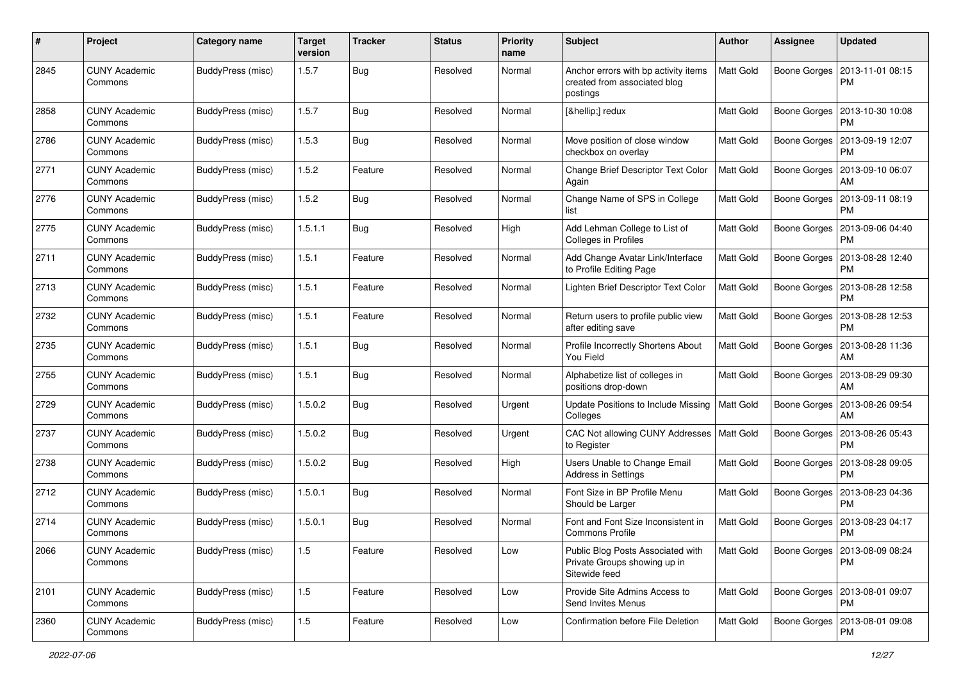| #    | Project                         | Category name            | <b>Target</b><br>version | <b>Tracker</b> | <b>Status</b> | <b>Priority</b><br>name | Subject                                                                            | Author           | <b>Assignee</b>     | <b>Updated</b>                               |
|------|---------------------------------|--------------------------|--------------------------|----------------|---------------|-------------------------|------------------------------------------------------------------------------------|------------------|---------------------|----------------------------------------------|
| 2845 | <b>CUNY Academic</b><br>Commons | <b>BuddyPress (misc)</b> | 1.5.7                    | Bug            | Resolved      | Normal                  | Anchor errors with bp activity items<br>created from associated blog<br>postings   | <b>Matt Gold</b> | Boone Gorges        | 2013-11-01 08:15<br>PM                       |
| 2858 | <b>CUNY Academic</b><br>Commons | BuddyPress (misc)        | 1.5.7                    | Bug            | Resolved      | Normal                  | […] redux                                                                          | Matt Gold        | Boone Gorges        | 2013-10-30 10:08<br>PM                       |
| 2786 | <b>CUNY Academic</b><br>Commons | BuddyPress (misc)        | 1.5.3                    | Bug            | Resolved      | Normal                  | Move position of close window<br>checkbox on overlay                               | <b>Matt Gold</b> | Boone Gorges        | 2013-09-19 12:07<br>PM                       |
| 2771 | <b>CUNY Academic</b><br>Commons | BuddyPress (misc)        | 1.5.2                    | Feature        | Resolved      | Normal                  | Change Brief Descriptor Text Color<br>Again                                        | Matt Gold        | Boone Gorges        | 2013-09-10 06:07<br>AM                       |
| 2776 | <b>CUNY Academic</b><br>Commons | BuddyPress (misc)        | 1.5.2                    | Bug            | Resolved      | Normal                  | Change Name of SPS in College<br>list                                              | Matt Gold        | Boone Gorges        | 2013-09-11 08:19<br><b>PM</b>                |
| 2775 | <b>CUNY Academic</b><br>Commons | BuddyPress (misc)        | 1.5.1.1                  | Bug            | Resolved      | High                    | Add Lehman College to List of<br>Colleges in Profiles                              | Matt Gold        | Boone Gorges        | 2013-09-06 04:40<br><b>PM</b>                |
| 2711 | <b>CUNY Academic</b><br>Commons | BuddyPress (misc)        | 1.5.1                    | Feature        | Resolved      | Normal                  | Add Change Avatar Link/Interface<br>to Profile Editing Page                        | Matt Gold        |                     | Boone Gorges   2013-08-28 12:40<br><b>PM</b> |
| 2713 | <b>CUNY Academic</b><br>Commons | BuddyPress (misc)        | 1.5.1                    | Feature        | Resolved      | Normal                  | Lighten Brief Descriptor Text Color                                                | <b>Matt Gold</b> | Boone Gorges        | 2013-08-28 12:58<br><b>PM</b>                |
| 2732 | <b>CUNY Academic</b><br>Commons | <b>BuddyPress (misc)</b> | 1.5.1                    | Feature        | Resolved      | Normal                  | Return users to profile public view<br>after editing save                          | <b>Matt Gold</b> | Boone Gorges        | 2013-08-28 12:53<br>PM                       |
| 2735 | <b>CUNY Academic</b><br>Commons | BuddyPress (misc)        | 1.5.1                    | Bug            | Resolved      | Normal                  | Profile Incorrectly Shortens About<br>You Field                                    | Matt Gold        | Boone Gorges        | 2013-08-28 11:36<br>AM                       |
| 2755 | <b>CUNY Academic</b><br>Commons | BuddyPress (misc)        | 1.5.1                    | Bug            | Resolved      | Normal                  | Alphabetize list of colleges in<br>positions drop-down                             | <b>Matt Gold</b> | Boone Gorges        | 2013-08-29 09:30<br>AM                       |
| 2729 | <b>CUNY Academic</b><br>Commons | BuddyPress (misc)        | 1.5.0.2                  | Bug            | Resolved      | Urgent                  | Update Positions to Include Missing  <br>Colleges                                  | Matt Gold        | Boone Gorges        | 2013-08-26 09:54<br>AM                       |
| 2737 | <b>CUNY Academic</b><br>Commons | BuddyPress (misc)        | 1.5.0.2                  | Bug            | Resolved      | Urgent                  | CAC Not allowing CUNY Addresses   Matt Gold<br>to Register                         |                  | <b>Boone Gorges</b> | 2013-08-26 05:43<br><b>PM</b>                |
| 2738 | <b>CUNY Academic</b><br>Commons | BuddyPress (misc)        | 1.5.0.2                  | Bug            | Resolved      | High                    | Users Unable to Change Email<br>Address in Settings                                | Matt Gold        | Boone Gorges        | 2013-08-28 09:05<br>PM                       |
| 2712 | <b>CUNY Academic</b><br>Commons | BuddyPress (misc)        | 1.5.0.1                  | Bug            | Resolved      | Normal                  | Font Size in BP Profile Menu<br>Should be Larger                                   | <b>Matt Gold</b> | Boone Gorges        | 2013-08-23 04:36<br><b>PM</b>                |
| 2714 | <b>CUNY Academic</b><br>Commons | <b>BuddyPress (misc)</b> | 1.5.0.1                  | Bug            | Resolved      | Normal                  | Font and Font Size Inconsistent in<br><b>Commons Profile</b>                       | <b>Matt Gold</b> | Boone Gorges        | 2013-08-23 04:17<br><b>PM</b>                |
| 2066 | <b>CUNY Academic</b><br>Commons | BuddyPress (misc)        | 1.5                      | Feature        | Resolved      | Low                     | Public Blog Posts Associated with<br>Private Groups showing up in<br>Sitewide feed | <b>Matt Gold</b> |                     | Boone Gorges   2013-08-09 08:24<br><b>PM</b> |
| 2101 | <b>CUNY Academic</b><br>Commons | <b>BuddyPress (misc)</b> | 1.5                      | Feature        | Resolved      | Low                     | Provide Site Admins Access to<br>Send Invites Menus                                | <b>Matt Gold</b> |                     | Boone Gorges   2013-08-01 09:07<br><b>PM</b> |
| 2360 | <b>CUNY Academic</b><br>Commons | BuddyPress (misc)        | 1.5                      | Feature        | Resolved      | Low                     | Confirmation before File Deletion                                                  | <b>Matt Gold</b> |                     | Boone Gorges   2013-08-01 09:08<br><b>PM</b> |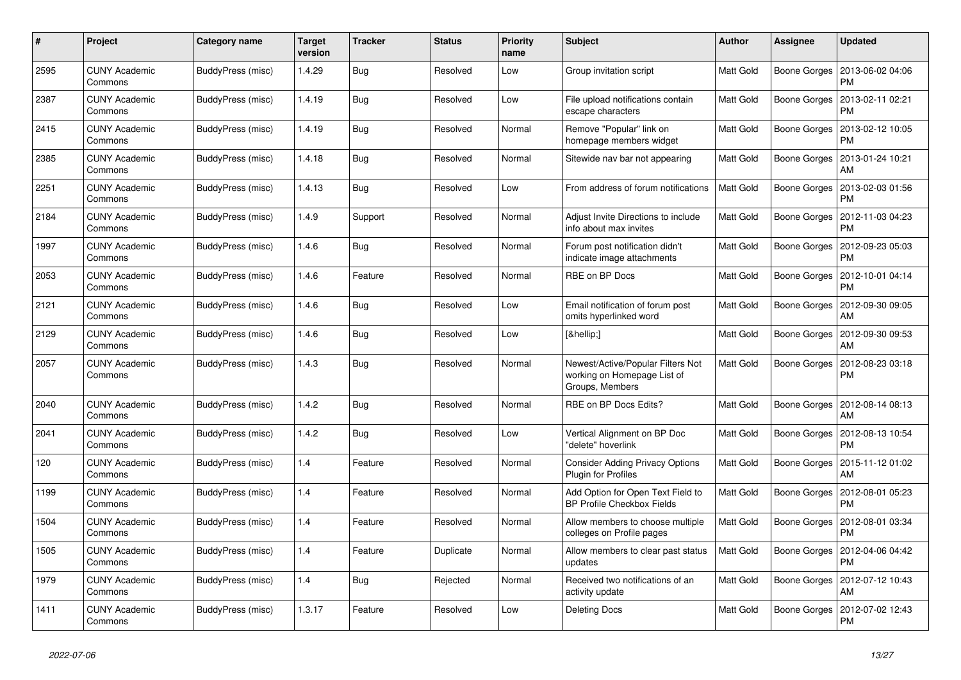| $\#$ | Project                         | Category name     | <b>Target</b><br>version | <b>Tracker</b> | <b>Status</b> | <b>Priority</b><br>name | <b>Subject</b>                                                                      | Author           | <b>Assignee</b> | <b>Updated</b>                |
|------|---------------------------------|-------------------|--------------------------|----------------|---------------|-------------------------|-------------------------------------------------------------------------------------|------------------|-----------------|-------------------------------|
| 2595 | <b>CUNY Academic</b><br>Commons | BuddyPress (misc) | 1.4.29                   | Bug            | Resolved      | Low                     | Group invitation script                                                             | <b>Matt Gold</b> | Boone Gorges    | 2013-06-02 04:06<br><b>PM</b> |
| 2387 | <b>CUNY Academic</b><br>Commons | BuddyPress (misc) | 1.4.19                   | Bug            | Resolved      | Low                     | File upload notifications contain<br>escape characters                              | Matt Gold        | Boone Gorges    | 2013-02-11 02:21<br>PM        |
| 2415 | <b>CUNY Academic</b><br>Commons | BuddyPress (misc) | 1.4.19                   | Bug            | Resolved      | Normal                  | Remove "Popular" link on<br>homepage members widget                                 | Matt Gold        | Boone Gorges    | 2013-02-12 10:05<br>PM        |
| 2385 | <b>CUNY Academic</b><br>Commons | BuddyPress (misc) | 1.4.18                   | Bug            | Resolved      | Normal                  | Sitewide nav bar not appearing                                                      | Matt Gold        | Boone Gorges    | 2013-01-24 10:21<br>AM        |
| 2251 | <b>CUNY Academic</b><br>Commons | BuddyPress (misc) | 1.4.13                   | Bug            | Resolved      | Low                     | From address of forum notifications                                                 | Matt Gold        | Boone Gorges    | 2013-02-03 01:56<br>PM        |
| 2184 | <b>CUNY Academic</b><br>Commons | BuddyPress (misc) | 1.4.9                    | Support        | Resolved      | Normal                  | Adjust Invite Directions to include<br>info about max invites                       | Matt Gold        | Boone Gorges    | 2012-11-03 04:23<br><b>PM</b> |
| 1997 | <b>CUNY Academic</b><br>Commons | BuddyPress (misc) | 1.4.6                    | Bug            | Resolved      | Normal                  | Forum post notification didn't<br>indicate image attachments                        | Matt Gold        | Boone Gorges    | 2012-09-23 05:03<br><b>PM</b> |
| 2053 | <b>CUNY Academic</b><br>Commons | BuddyPress (misc) | 1.4.6                    | Feature        | Resolved      | Normal                  | RBE on BP Docs                                                                      | Matt Gold        | Boone Gorges    | 2012-10-01 04:14<br><b>PM</b> |
| 2121 | <b>CUNY Academic</b><br>Commons | BuddyPress (misc) | 1.4.6                    | Bug            | Resolved      | Low                     | Email notification of forum post<br>omits hyperlinked word                          | Matt Gold        | Boone Gorges    | 2012-09-30 09:05<br>AM        |
| 2129 | <b>CUNY Academic</b><br>Commons | BuddyPress (misc) | 1.4.6                    | <b>Bug</b>     | Resolved      | Low                     | […]                                                                                 | Matt Gold        | Boone Gorges    | 2012-09-30 09:53<br>AM        |
| 2057 | <b>CUNY Academic</b><br>Commons | BuddyPress (misc) | 1.4.3                    | Bug            | Resolved      | Normal                  | Newest/Active/Popular Filters Not<br>working on Homepage List of<br>Groups, Members | <b>Matt Gold</b> | Boone Gorges    | 2012-08-23 03:18<br>PM        |
| 2040 | <b>CUNY Academic</b><br>Commons | BuddyPress (misc) | 1.4.2                    | Bug            | Resolved      | Normal                  | RBE on BP Docs Edits?                                                               | Matt Gold        | Boone Gorges    | 2012-08-14 08:13<br>AM        |
| 2041 | <b>CUNY Academic</b><br>Commons | BuddyPress (misc) | 1.4.2                    | Bug            | Resolved      | Low                     | Vertical Alignment on BP Doc<br>'delete" hoverlink                                  | Matt Gold        | Boone Gorges    | 2012-08-13 10:54<br><b>PM</b> |
| 120  | <b>CUNY Academic</b><br>Commons | BuddyPress (misc) | 1.4                      | Feature        | Resolved      | Normal                  | <b>Consider Adding Privacy Options</b><br>Plugin for Profiles                       | Matt Gold        | Boone Gorges    | 2015-11-12 01:02<br>AM        |
| 1199 | <b>CUNY Academic</b><br>Commons | BuddyPress (misc) | 1.4                      | Feature        | Resolved      | Normal                  | Add Option for Open Text Field to<br><b>BP Profile Checkbox Fields</b>              | Matt Gold        | Boone Gorges    | 2012-08-01 05:23<br><b>PM</b> |
| 1504 | <b>CUNY Academic</b><br>Commons | BuddyPress (misc) | 1.4                      | Feature        | Resolved      | Normal                  | Allow members to choose multiple<br>colleges on Profile pages                       | Matt Gold        | Boone Gorges    | 2012-08-01 03:34<br>PM        |
| 1505 | <b>CUNY Academic</b><br>Commons | BuddyPress (misc) | 1.4                      | Feature        | Duplicate     | Normal                  | Allow members to clear past status<br>updates                                       | <b>Matt Gold</b> | Boone Gorges    | 2012-04-06 04:42<br>PM        |
| 1979 | <b>CUNY Academic</b><br>Commons | BuddyPress (misc) | 1.4                      | Bug            | Rejected      | Normal                  | Received two notifications of an<br>activity update                                 | <b>Matt Gold</b> | Boone Gorges    | 2012-07-12 10:43<br>AM        |
| 1411 | <b>CUNY Academic</b><br>Commons | BuddyPress (misc) | 1.3.17                   | Feature        | Resolved      | Low                     | <b>Deleting Docs</b>                                                                | Matt Gold        | Boone Gorges    | 2012-07-02 12:43<br><b>PM</b> |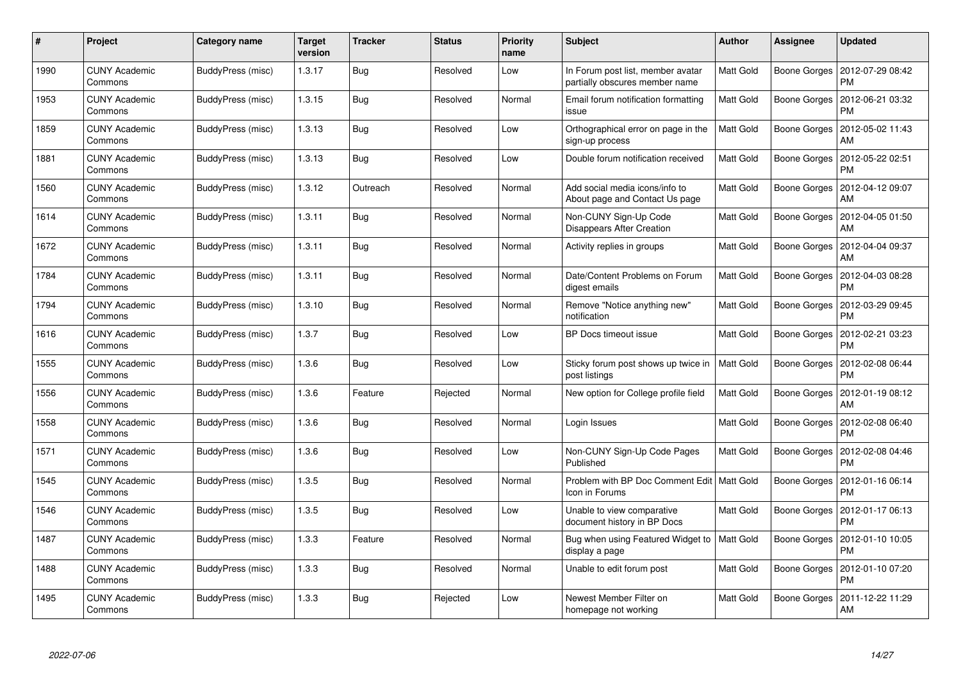| #    | Project                         | Category name     | Target<br>version | <b>Tracker</b> | <b>Status</b> | <b>Priority</b><br>name | <b>Subject</b>                                                      | <b>Author</b>    | Assignee            | <b>Updated</b>                               |
|------|---------------------------------|-------------------|-------------------|----------------|---------------|-------------------------|---------------------------------------------------------------------|------------------|---------------------|----------------------------------------------|
| 1990 | <b>CUNY Academic</b><br>Commons | BuddyPress (misc) | 1.3.17            | Bug            | Resolved      | Low                     | In Forum post list, member avatar<br>partially obscures member name | Matt Gold        | Boone Gorges        | 2012-07-29 08:42<br><b>PM</b>                |
| 1953 | <b>CUNY Academic</b><br>Commons | BuddyPress (misc) | 1.3.15            | <b>Bug</b>     | Resolved      | Normal                  | Email forum notification formatting<br>issue                        | <b>Matt Gold</b> | Boone Gorges        | 2012-06-21 03:32<br><b>PM</b>                |
| 1859 | <b>CUNY Academic</b><br>Commons | BuddyPress (misc) | 1.3.13            | Bug            | Resolved      | Low                     | Orthographical error on page in the<br>sign-up process              | Matt Gold        | <b>Boone Gorges</b> | 2012-05-02 11:43<br>AM                       |
| 1881 | <b>CUNY Academic</b><br>Commons | BuddyPress (misc) | 1.3.13            | Bug            | Resolved      | Low                     | Double forum notification received                                  | Matt Gold        | Boone Gorges        | 2012-05-22 02:51<br><b>PM</b>                |
| 1560 | <b>CUNY Academic</b><br>Commons | BuddyPress (misc) | 1.3.12            | Outreach       | Resolved      | Normal                  | Add social media icons/info to<br>About page and Contact Us page    | Matt Gold        | <b>Boone Gorges</b> | 2012-04-12 09:07<br>AM                       |
| 1614 | <b>CUNY Academic</b><br>Commons | BuddyPress (misc) | 1.3.11            | Bug            | Resolved      | Normal                  | Non-CUNY Sign-Up Code<br>Disappears After Creation                  | Matt Gold        | Boone Gorges        | 2012-04-05 01:50<br>AM                       |
| 1672 | <b>CUNY Academic</b><br>Commons | BuddyPress (misc) | 1.3.11            | Bug            | Resolved      | Normal                  | Activity replies in groups                                          | <b>Matt Gold</b> | Boone Gorges        | 2012-04-04 09:37<br>AM                       |
| 1784 | <b>CUNY Academic</b><br>Commons | BuddyPress (misc) | 1.3.11            | Bug            | Resolved      | Normal                  | Date/Content Problems on Forum<br>digest emails                     | Matt Gold        | Boone Gorges        | 2012-04-03 08:28<br><b>PM</b>                |
| 1794 | <b>CUNY Academic</b><br>Commons | BuddyPress (misc) | 1.3.10            | Bug            | Resolved      | Normal                  | Remove "Notice anything new"<br>notification                        | <b>Matt Gold</b> |                     | Boone Gorges   2012-03-29 09:45<br><b>PM</b> |
| 1616 | <b>CUNY Academic</b><br>Commons | BuddyPress (misc) | 1.3.7             | <b>Bug</b>     | Resolved      | Low                     | <b>BP Docs timeout issue</b>                                        | Matt Gold        | Boone Gorges        | 2012-02-21 03:23<br><b>PM</b>                |
| 1555 | <b>CUNY Academic</b><br>Commons | BuddyPress (misc) | 1.3.6             | Bug            | Resolved      | Low                     | Sticky forum post shows up twice in<br>post listings                | <b>Matt Gold</b> | <b>Boone Gorges</b> | 2012-02-08 06:44<br><b>PM</b>                |
| 1556 | <b>CUNY Academic</b><br>Commons | BuddyPress (misc) | 1.3.6             | Feature        | Rejected      | Normal                  | New option for College profile field                                | Matt Gold        | Boone Gorges        | 2012-01-19 08:12<br>AM                       |
| 1558 | <b>CUNY Academic</b><br>Commons | BuddyPress (misc) | 1.3.6             | Bug            | Resolved      | Normal                  | Login Issues                                                        | Matt Gold        | Boone Gorges        | 2012-02-08 06:40<br><b>PM</b>                |
| 1571 | <b>CUNY Academic</b><br>Commons | BuddyPress (misc) | 1.3.6             | <b>Bug</b>     | Resolved      | Low                     | Non-CUNY Sign-Up Code Pages<br>Published                            | Matt Gold        | <b>Boone Gorges</b> | 2012-02-08 04:46<br><b>PM</b>                |
| 1545 | <b>CUNY Academic</b><br>Commons | BuddyPress (misc) | 1.3.5             | <b>Bug</b>     | Resolved      | Normal                  | Problem with BP Doc Comment Edit   Matt Gold<br>Icon in Forums      |                  | Boone Gorges        | 2012-01-16 06:14<br><b>PM</b>                |
| 1546 | <b>CUNY Academic</b><br>Commons | BuddyPress (misc) | 1.3.5             | Bug            | Resolved      | Low                     | Unable to view comparative<br>document history in BP Docs           | Matt Gold        |                     | Boone Gorges   2012-01-17 06:13<br><b>PM</b> |
| 1487 | <b>CUNY Academic</b><br>Commons | BuddyPress (misc) | 1.3.3             | Feature        | Resolved      | Normal                  | Bug when using Featured Widget to<br>display a page                 | Matt Gold        |                     | Boone Gorges   2012-01-10 10:05<br><b>PM</b> |
| 1488 | <b>CUNY Academic</b><br>Commons | BuddyPress (misc) | 1.3.3             | <b>Bug</b>     | Resolved      | Normal                  | Unable to edit forum post                                           | Matt Gold        | Boone Gorges        | 2012-01-10 07:20<br><b>PM</b>                |
| 1495 | CUNY Academic<br>Commons        | BuddyPress (misc) | 1.3.3             | <b>Bug</b>     | Rejected      | Low                     | Newest Member Filter on<br>homepage not working                     | Matt Gold        | Boone Gorges        | 2011-12-22 11:29<br>AM                       |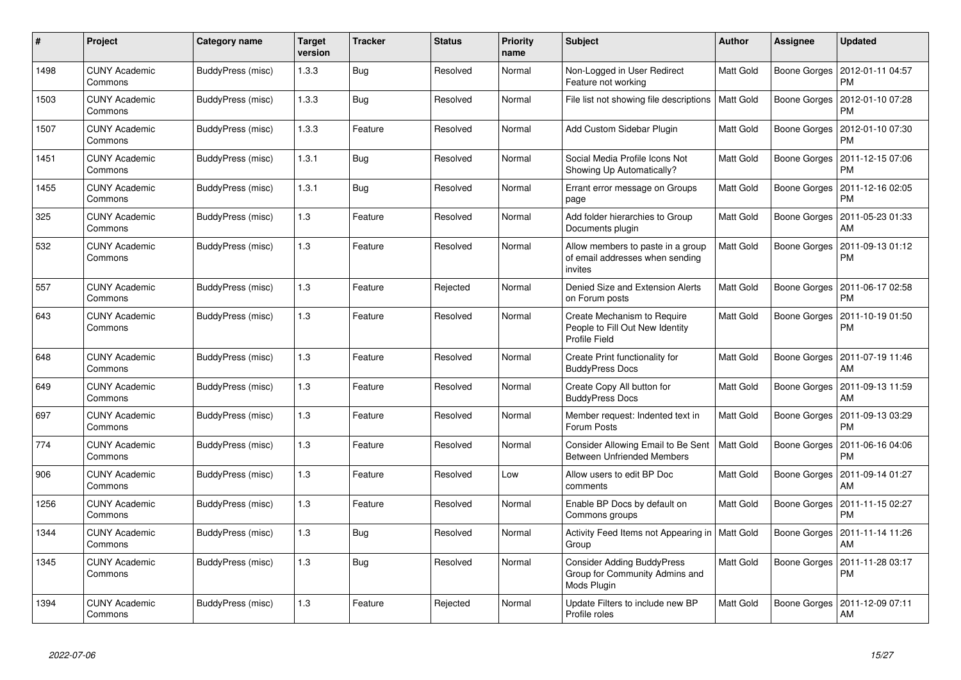| #    | Project                         | Category name     | <b>Target</b><br>version | <b>Tracker</b> | <b>Status</b> | <b>Priority</b><br>name | <b>Subject</b>                                                                     | <b>Author</b>    | Assignee     | <b>Updated</b>                |
|------|---------------------------------|-------------------|--------------------------|----------------|---------------|-------------------------|------------------------------------------------------------------------------------|------------------|--------------|-------------------------------|
| 1498 | <b>CUNY Academic</b><br>Commons | BuddyPress (misc) | 1.3.3                    | Bug            | Resolved      | Normal                  | Non-Logged in User Redirect<br>Feature not working                                 | Matt Gold        | Boone Gorges | 2012-01-11 04:57<br><b>PM</b> |
| 1503 | <b>CUNY Academic</b><br>Commons | BuddyPress (misc) | 1.3.3                    | Bug            | Resolved      | Normal                  | File list not showing file descriptions                                            | Matt Gold        | Boone Gorges | 2012-01-10 07:28<br>PM        |
| 1507 | <b>CUNY Academic</b><br>Commons | BuddyPress (misc) | 1.3.3                    | Feature        | Resolved      | Normal                  | Add Custom Sidebar Plugin                                                          | <b>Matt Gold</b> | Boone Gorges | 2012-01-10 07:30<br>PM        |
| 1451 | <b>CUNY Academic</b><br>Commons | BuddyPress (misc) | 1.3.1                    | <b>Bug</b>     | Resolved      | Normal                  | Social Media Profile Icons Not<br>Showing Up Automatically?                        | Matt Gold        | Boone Gorges | 2011-12-15 07:06<br>PM        |
| 1455 | <b>CUNY Academic</b><br>Commons | BuddyPress (misc) | 1.3.1                    | <b>Bug</b>     | Resolved      | Normal                  | Errant error message on Groups<br>page                                             | Matt Gold        | Boone Gorges | 2011-12-16 02:05<br><b>PM</b> |
| 325  | <b>CUNY Academic</b><br>Commons | BuddyPress (misc) | 1.3                      | Feature        | Resolved      | Normal                  | Add folder hierarchies to Group<br>Documents plugin                                | Matt Gold        | Boone Gorges | 2011-05-23 01:33<br>AM        |
| 532  | <b>CUNY Academic</b><br>Commons | BuddyPress (misc) | 1.3                      | Feature        | Resolved      | Normal                  | Allow members to paste in a group<br>of email addresses when sending<br>invites    | Matt Gold        | Boone Gorges | 2011-09-13 01:12<br>PM        |
| 557  | <b>CUNY Academic</b><br>Commons | BuddyPress (misc) | 1.3                      | Feature        | Rejected      | Normal                  | Denied Size and Extension Alerts<br>on Forum posts                                 | <b>Matt Gold</b> | Boone Gorges | 2011-06-17 02:58<br>PM        |
| 643  | <b>CUNY Academic</b><br>Commons | BuddyPress (misc) | 1.3                      | Feature        | Resolved      | Normal                  | Create Mechanism to Require<br>People to Fill Out New Identity<br>Profile Field    | Matt Gold        | Boone Gorges | 2011-10-19 01:50<br><b>PM</b> |
| 648  | CUNY Academic<br>Commons        | BuddyPress (misc) | 1.3                      | Feature        | Resolved      | Normal                  | Create Print functionality for<br><b>BuddyPress Docs</b>                           | Matt Gold        | Boone Gorges | 2011-07-19 11:46<br>AM        |
| 649  | <b>CUNY Academic</b><br>Commons | BuddyPress (misc) | $1.3$                    | Feature        | Resolved      | Normal                  | Create Copy All button for<br><b>BuddyPress Docs</b>                               | <b>Matt Gold</b> | Boone Gorges | 2011-09-13 11:59<br>AM        |
| 697  | <b>CUNY Academic</b><br>Commons | BuddyPress (misc) | 1.3                      | Feature        | Resolved      | Normal                  | Member request: Indented text in<br>Forum Posts                                    | <b>Matt Gold</b> | Boone Gorges | 2011-09-13 03:29<br><b>PM</b> |
| 774  | <b>CUNY Academic</b><br>Commons | BuddyPress (misc) | 1.3                      | Feature        | Resolved      | Normal                  | Consider Allowing Email to Be Sent<br><b>Between Unfriended Members</b>            | <b>Matt Gold</b> | Boone Gorges | 2011-06-16 04:06<br><b>PM</b> |
| 906  | <b>CUNY Academic</b><br>Commons | BuddyPress (misc) | 1.3                      | Feature        | Resolved      | Low                     | Allow users to edit BP Doc<br>comments                                             | Matt Gold        | Boone Gorges | 2011-09-14 01:27<br>AM        |
| 1256 | <b>CUNY Academic</b><br>Commons | BuddyPress (misc) | 1.3                      | Feature        | Resolved      | Normal                  | Enable BP Docs by default on<br>Commons groups                                     | Matt Gold        | Boone Gorges | 2011-11-15 02:27<br><b>PM</b> |
| 1344 | <b>CUNY Academic</b><br>Commons | BuddyPress (misc) | 1.3                      | Bug            | Resolved      | Normal                  | Activity Feed Items not Appearing in   Matt Gold<br>Group                          |                  | Boone Gorges | 2011-11-14 11:26<br>AM        |
| 1345 | <b>CUNY Academic</b><br>Commons | BuddyPress (misc) | 1.3                      | Bug            | Resolved      | Normal                  | <b>Consider Adding BuddyPress</b><br>Group for Community Admins and<br>Mods Plugin | Matt Gold        | Boone Gorges | 2011-11-28 03:17<br>PM        |
| 1394 | <b>CUNY Academic</b><br>Commons | BuddyPress (misc) | 1.3                      | Feature        | Rejected      | Normal                  | Update Filters to include new BP<br>Profile roles                                  | Matt Gold        | Boone Gorges | 2011-12-09 07:11<br>AM        |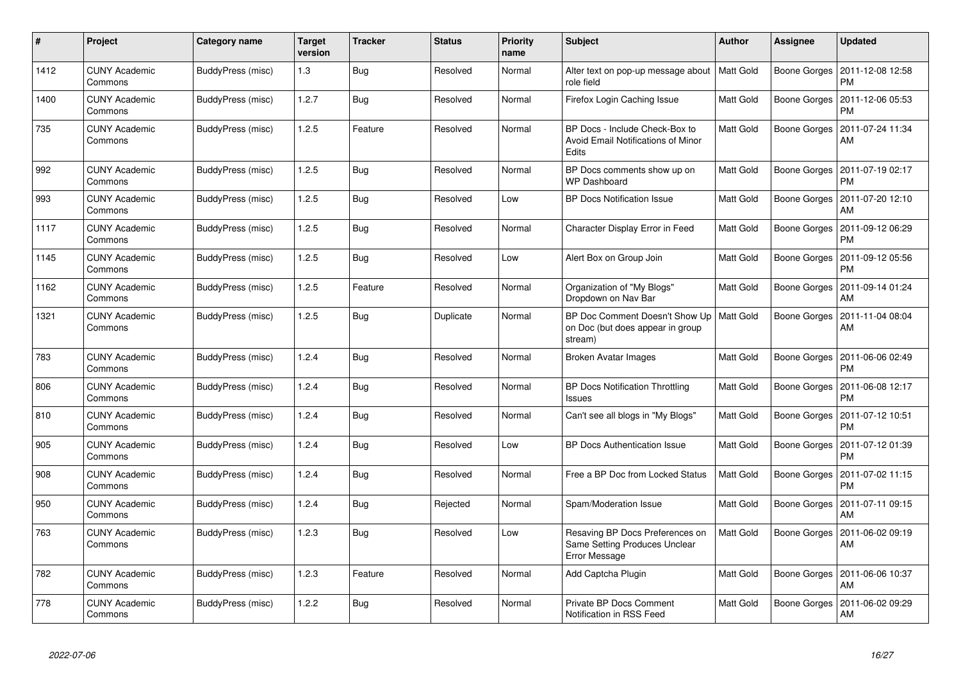| $\#$ | Project                         | Category name     | <b>Target</b><br>version | <b>Tracker</b> | <b>Status</b> | <b>Priority</b><br>name | <b>Subject</b>                                                                           | <b>Author</b>    | <b>Assignee</b>     | <b>Updated</b>                               |
|------|---------------------------------|-------------------|--------------------------|----------------|---------------|-------------------------|------------------------------------------------------------------------------------------|------------------|---------------------|----------------------------------------------|
| 1412 | <b>CUNY Academic</b><br>Commons | BuddyPress (misc) | 1.3                      | <b>Bug</b>     | Resolved      | Normal                  | Alter text on pop-up message about<br>role field                                         | Matt Gold        | Boone Gorges        | 2011-12-08 12:58<br><b>PM</b>                |
| 1400 | <b>CUNY Academic</b><br>Commons | BuddyPress (misc) | 1.2.7                    | <b>Bug</b>     | Resolved      | Normal                  | Firefox Login Caching Issue                                                              | Matt Gold        | Boone Gorges        | 2011-12-06 05:53<br><b>PM</b>                |
| 735  | CUNY Academic<br>Commons        | BuddyPress (misc) | 1.2.5                    | Feature        | Resolved      | Normal                  | BP Docs - Include Check-Box to<br>Avoid Email Notifications of Minor<br>Edits            | Matt Gold        | Boone Gorges        | 2011-07-24 11:34<br>AM                       |
| 992  | <b>CUNY Academic</b><br>Commons | BuddyPress (misc) | 1.2.5                    | <b>Bug</b>     | Resolved      | Normal                  | BP Docs comments show up on<br><b>WP Dashboard</b>                                       | <b>Matt Gold</b> | Boone Gorges        | 2011-07-19 02:17<br><b>PM</b>                |
| 993  | CUNY Academic<br>Commons        | BuddyPress (misc) | 1.2.5                    | Bug            | Resolved      | Low                     | <b>BP Docs Notification Issue</b>                                                        | Matt Gold        | Boone Gorges        | 2011-07-20 12:10<br>AM                       |
| 1117 | <b>CUNY Academic</b><br>Commons | BuddyPress (misc) | 1.2.5                    | <b>Bug</b>     | Resolved      | Normal                  | Character Display Error in Feed                                                          | Matt Gold        |                     | Boone Gorges   2011-09-12 06:29<br><b>PM</b> |
| 1145 | <b>CUNY Academic</b><br>Commons | BuddyPress (misc) | 1.2.5                    | <b>Bug</b>     | Resolved      | Low                     | Alert Box on Group Join                                                                  | Matt Gold        | Boone Gorges        | 2011-09-12 05:56<br><b>PM</b>                |
| 1162 | CUNY Academic<br>Commons        | BuddyPress (misc) | 1.2.5                    | Feature        | Resolved      | Normal                  | Organization of "My Blogs"<br>Dropdown on Nav Bar                                        | <b>Matt Gold</b> | Boone Gorges        | 2011-09-14 01:24<br>AM                       |
| 1321 | <b>CUNY Academic</b><br>Commons | BuddyPress (misc) | 1.2.5                    | <b>Bug</b>     | Duplicate     | Normal                  | BP Doc Comment Doesn't Show Up<br>on Doc (but does appear in group<br>stream)            | Matt Gold        | Boone Gorges        | 2011-11-04 08:04<br>AM                       |
| 783  | CUNY Academic<br>Commons        | BuddyPress (misc) | 1.2.4                    | <b>Bug</b>     | Resolved      | Normal                  | Broken Avatar Images                                                                     | Matt Gold        | Boone Gorges        | 2011-06-06 02:49<br><b>PM</b>                |
| 806  | <b>CUNY Academic</b><br>Commons | BuddyPress (misc) | 1.2.4                    | <b>Bug</b>     | Resolved      | Normal                  | <b>BP Docs Notification Throttling</b><br>Issues                                         | Matt Gold        | <b>Boone Gorges</b> | 2011-06-08 12:17<br><b>PM</b>                |
| 810  | CUNY Academic<br>Commons        | BuddyPress (misc) | 1.2.4                    | Bug            | Resolved      | Normal                  | Can't see all blogs in "My Blogs"                                                        | Matt Gold        | Boone Gorges        | 2011-07-12 10:51<br><b>PM</b>                |
| 905  | <b>CUNY Academic</b><br>Commons | BuddyPress (misc) | 1.2.4                    | <b>Bug</b>     | Resolved      | Low                     | <b>BP Docs Authentication Issue</b>                                                      | Matt Gold        | Boone Gorges        | 2011-07-12 01:39<br><b>PM</b>                |
| 908  | <b>CUNY Academic</b><br>Commons | BuddyPress (misc) | 1.2.4                    | <b>Bug</b>     | Resolved      | Normal                  | Free a BP Doc from Locked Status                                                         | Matt Gold        | Boone Gorges        | 2011-07-02 11:15<br><b>PM</b>                |
| 950  | <b>CUNY Academic</b><br>Commons | BuddyPress (misc) | 1.2.4                    | <b>Bug</b>     | Rejected      | Normal                  | Spam/Moderation Issue                                                                    | Matt Gold        | Boone Gorges        | 2011-07-11 09:15<br>AM                       |
| 763  | <b>CUNY Academic</b><br>Commons | BuddyPress (misc) | 1.2.3                    | Bug            | Resolved      | Low                     | Resaving BP Docs Preferences on<br>Same Setting Produces Unclear<br><b>Error Message</b> | Matt Gold        | Boone Gorges        | 2011-06-02 09:19<br>AM                       |
| 782  | <b>CUNY Academic</b><br>Commons | BuddyPress (misc) | 1.2.3                    | Feature        | Resolved      | Normal                  | Add Captcha Plugin                                                                       | Matt Gold        | Boone Gorges        | 2011-06-06 10:37<br>AM                       |
| 778  | <b>CUNY Academic</b><br>Commons | BuddyPress (misc) | 1.2.2                    | Bug            | Resolved      | Normal                  | Private BP Docs Comment<br>Notification in RSS Feed                                      | Matt Gold        | Boone Gorges        | 2011-06-02 09:29<br>AM                       |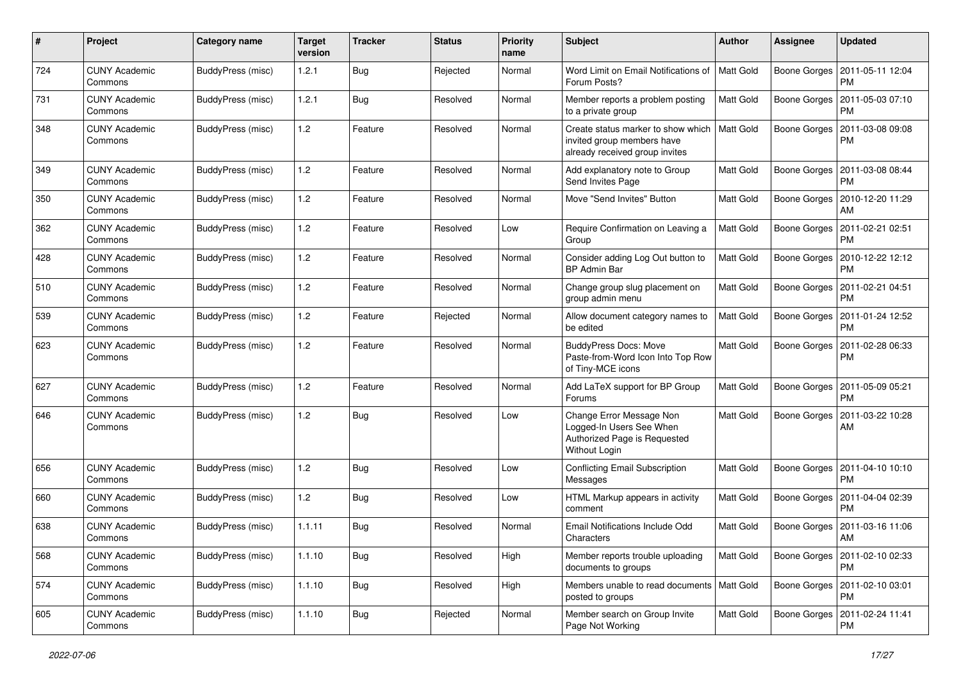| #   | Project                         | <b>Category name</b>     | <b>Target</b><br>version | <b>Tracker</b> | <b>Status</b> | <b>Priority</b><br>name | Subject                                                                                               | Author           | <b>Assignee</b>     | <b>Updated</b>                               |
|-----|---------------------------------|--------------------------|--------------------------|----------------|---------------|-------------------------|-------------------------------------------------------------------------------------------------------|------------------|---------------------|----------------------------------------------|
| 724 | <b>CUNY Academic</b><br>Commons | <b>BuddyPress (misc)</b> | 1.2.1                    | Bug            | Rejected      | Normal                  | Word Limit on Email Notifications of<br>Forum Posts?                                                  | Matt Gold        | Boone Gorges        | 2011-05-11 12:04<br>PM                       |
| 731 | <b>CUNY Academic</b><br>Commons | <b>BuddyPress (misc)</b> | 1.2.1                    | Bug            | Resolved      | Normal                  | Member reports a problem posting<br>to a private group                                                | <b>Matt Gold</b> | Boone Gorges        | 2011-05-03 07:10<br><b>PM</b>                |
| 348 | <b>CUNY Academic</b><br>Commons | BuddyPress (misc)        | 1.2                      | Feature        | Resolved      | Normal                  | Create status marker to show which<br>invited group members have<br>already received group invites    | Matt Gold        | Boone Gorges        | 2011-03-08 09:08<br><b>PM</b>                |
| 349 | <b>CUNY Academic</b><br>Commons | BuddyPress (misc)        | 1.2                      | Feature        | Resolved      | Normal                  | Add explanatory note to Group<br>Send Invites Page                                                    | <b>Matt Gold</b> | Boone Gorges        | 2011-03-08 08:44<br><b>PM</b>                |
| 350 | <b>CUNY Academic</b><br>Commons | BuddyPress (misc)        | 1.2                      | Feature        | Resolved      | Normal                  | Move "Send Invites" Button                                                                            | Matt Gold        | <b>Boone Gorges</b> | 2010-12-20 11:29<br>AM                       |
| 362 | <b>CUNY Academic</b><br>Commons | BuddyPress (misc)        | 1.2                      | Feature        | Resolved      | Low                     | Require Confirmation on Leaving a<br>Group                                                            | Matt Gold        | Boone Gorges        | 2011-02-21 02:51<br><b>PM</b>                |
| 428 | <b>CUNY Academic</b><br>Commons | BuddyPress (misc)        | 1.2                      | Feature        | Resolved      | Normal                  | Consider adding Log Out button to<br><b>BP Admin Bar</b>                                              | Matt Gold        |                     | Boone Gorges   2010-12-22 12:12<br><b>PM</b> |
| 510 | <b>CUNY Academic</b><br>Commons | BuddyPress (misc)        | 1.2                      | Feature        | Resolved      | Normal                  | Change group slug placement on<br>group admin menu                                                    | <b>Matt Gold</b> | Boone Gorges        | 2011-02-21 04:51<br><b>PM</b>                |
| 539 | <b>CUNY Academic</b><br>Commons | <b>BuddyPress (misc)</b> | 1.2                      | Feature        | Rejected      | Normal                  | Allow document category names to<br>be edited                                                         | <b>Matt Gold</b> | Boone Gorges        | 2011-01-24 12:52<br>PM                       |
| 623 | <b>CUNY Academic</b><br>Commons | BuddyPress (misc)        | 1.2                      | Feature        | Resolved      | Normal                  | <b>BuddyPress Docs: Move</b><br>Paste-from-Word Icon Into Top Row<br>of Tiny-MCE icons                | Matt Gold        | Boone Gorges        | 2011-02-28 06:33<br><b>PM</b>                |
| 627 | <b>CUNY Academic</b><br>Commons | BuddyPress (misc)        | 1.2                      | Feature        | Resolved      | Normal                  | Add LaTeX support for BP Group<br>Forums                                                              | Matt Gold        | Boone Gorges        | 2011-05-09 05:21<br><b>PM</b>                |
| 646 | <b>CUNY Academic</b><br>Commons | BuddyPress (misc)        | 1.2                      | Bug            | Resolved      | Low                     | Change Error Message Non<br>Logged-In Users See When<br>Authorized Page is Requested<br>Without Login | <b>Matt Gold</b> | Boone Gorges        | 2011-03-22 10:28<br>AM                       |
| 656 | <b>CUNY Academic</b><br>Commons | <b>BuddyPress (misc)</b> | 1.2                      | Bug            | Resolved      | Low                     | <b>Conflicting Email Subscription</b><br>Messages                                                     | Matt Gold        | Boone Gorges        | 2011-04-10 10:10<br><b>PM</b>                |
| 660 | <b>CUNY Academic</b><br>Commons | BuddyPress (misc)        | 1.2                      | Bug            | Resolved      | Low                     | HTML Markup appears in activity<br>comment                                                            | <b>Matt Gold</b> | Boone Gorges        | 2011-04-04 02:39<br><b>PM</b>                |
| 638 | CUNY Academic<br>Commons        | BuddyPress (misc)        | 1.1.11                   | Bug            | Resolved      | Normal                  | Email Notifications Include Odd<br>Characters                                                         | Matt Gold        | Boone Gorges        | 2011-03-16 11:06<br>AM                       |
| 568 | <b>CUNY Academic</b><br>Commons | BuddyPress (misc)        | 1.1.10                   | Bug            | Resolved      | High                    | Member reports trouble uploading<br>documents to groups                                               | Matt Gold        |                     | Boone Gorges   2011-02-10 02:33<br><b>PM</b> |
| 574 | <b>CUNY Academic</b><br>Commons | <b>BuddyPress (misc)</b> | 1.1.10                   | <b>Bug</b>     | Resolved      | High                    | Members unable to read documents   Matt Gold<br>posted to groups                                      |                  |                     | Boone Gorges   2011-02-10 03:01<br><b>PM</b> |
| 605 | <b>CUNY Academic</b><br>Commons | <b>BuddyPress (misc)</b> | 1.1.10                   | <b>Bug</b>     | Rejected      | Normal                  | Member search on Group Invite<br>Page Not Working                                                     | Matt Gold        | Boone Gorges        | 2011-02-24 11:41<br><b>PM</b>                |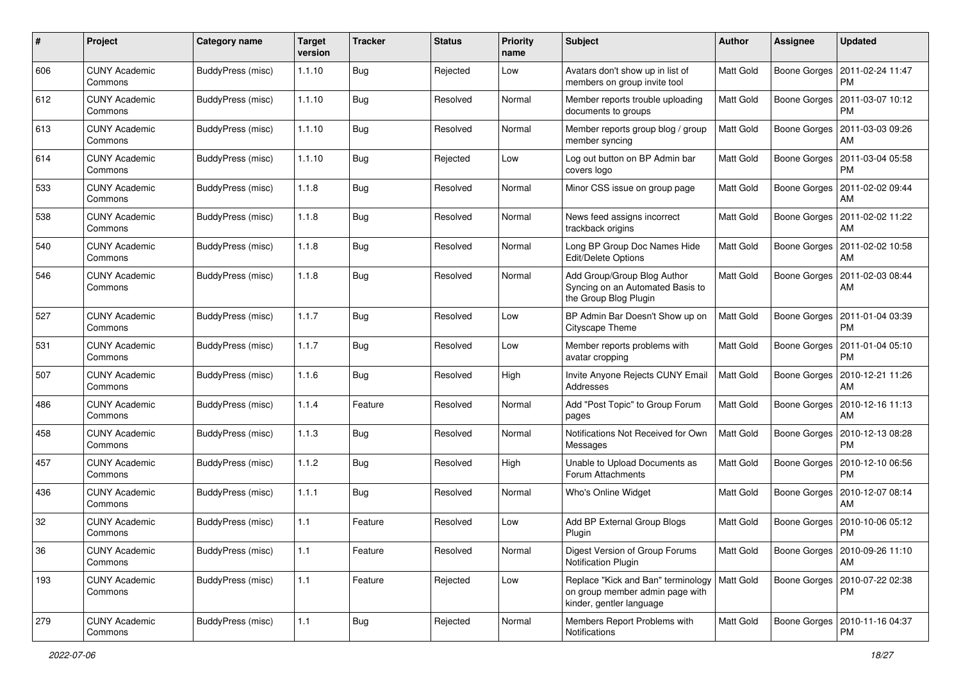| $\#$ | Project                         | <b>Category name</b>     | <b>Target</b><br>version | <b>Tracker</b> | <b>Status</b> | <b>Priority</b><br>name | <b>Subject</b>                                                                                    | Author           | Assignee            | <b>Updated</b>                        |
|------|---------------------------------|--------------------------|--------------------------|----------------|---------------|-------------------------|---------------------------------------------------------------------------------------------------|------------------|---------------------|---------------------------------------|
| 606  | <b>CUNY Academic</b><br>Commons | BuddyPress (misc)        | 1.1.10                   | <b>Bug</b>     | Rejected      | Low                     | Avatars don't show up in list of<br>members on group invite tool                                  | <b>Matt Gold</b> | Boone Gorges        | 2011-02-24 11:47<br><b>PM</b>         |
| 612  | <b>CUNY Academic</b><br>Commons | BuddyPress (misc)        | 1.1.10                   | Bug            | Resolved      | Normal                  | Member reports trouble uploading<br>documents to groups                                           | <b>Matt Gold</b> | Boone Gorges        | 2011-03-07 10:12<br><b>PM</b>         |
| 613  | <b>CUNY Academic</b><br>Commons | BuddyPress (misc)        | 1.1.10                   | Bug            | Resolved      | Normal                  | Member reports group blog / group<br>member syncing                                               | <b>Matt Gold</b> | <b>Boone Gorges</b> | 2011-03-03 09:26<br>AM                |
| 614  | <b>CUNY Academic</b><br>Commons | BuddyPress (misc)        | 1.1.10                   | <b>Bug</b>     | Rejected      | Low                     | Log out button on BP Admin bar<br>covers logo                                                     | <b>Matt Gold</b> | <b>Boone Gorges</b> | 2011-03-04 05:58<br><b>PM</b>         |
| 533  | <b>CUNY Academic</b><br>Commons | BuddyPress (misc)        | 1.1.8                    | Bug            | Resolved      | Normal                  | Minor CSS issue on group page                                                                     | Matt Gold        | Boone Gorges        | 2011-02-02 09:44<br>AM                |
| 538  | <b>CUNY Academic</b><br>Commons | BuddyPress (misc)        | 1.1.8                    | Bug            | Resolved      | Normal                  | News feed assigns incorrect<br>trackback origins                                                  | Matt Gold        | <b>Boone Gorges</b> | 2011-02-02 11:22<br>AM                |
| 540  | <b>CUNY Academic</b><br>Commons | BuddyPress (misc)        | 1.1.8                    | Bug            | Resolved      | Normal                  | Long BP Group Doc Names Hide<br>Edit/Delete Options                                               | Matt Gold        | Boone Gorges        | 2011-02-02 10:58<br>AM                |
| 546  | <b>CUNY Academic</b><br>Commons | BuddyPress (misc)        | 1.1.8                    | <b>Bug</b>     | Resolved      | Normal                  | Add Group/Group Blog Author<br>Syncing on an Automated Basis to<br>the Group Blog Plugin          | <b>Matt Gold</b> | <b>Boone Gorges</b> | 2011-02-03 08:44<br>AM                |
| 527  | <b>CUNY Academic</b><br>Commons | <b>BuddyPress (misc)</b> | 1.1.7                    | <b>Bug</b>     | Resolved      | Low                     | BP Admin Bar Doesn't Show up on<br>Cityscape Theme                                                | Matt Gold        | Boone Gorges        | 2011-01-04 03:39<br><b>PM</b>         |
| 531  | <b>CUNY Academic</b><br>Commons | BuddyPress (misc)        | 1.1.7                    | Bug            | Resolved      | Low                     | Member reports problems with<br>avatar cropping                                                   | Matt Gold        | Boone Gorges        | 2011-01-04 05:10<br><b>PM</b>         |
| 507  | <b>CUNY Academic</b><br>Commons | BuddyPress (misc)        | 1.1.6                    | Bug            | Resolved      | High                    | Invite Anyone Rejects CUNY Email<br>Addresses                                                     | <b>Matt Gold</b> | Boone Gorges        | 2010-12-21 11:26<br>AM                |
| 486  | <b>CUNY Academic</b><br>Commons | BuddyPress (misc)        | 1.1.4                    | Feature        | Resolved      | Normal                  | Add "Post Topic" to Group Forum<br>pages                                                          | <b>Matt Gold</b> | Boone Gorges        | 2010-12-16 11:13<br>AM                |
| 458  | <b>CUNY Academic</b><br>Commons | BuddyPress (misc)        | 1.1.3                    | Bug            | Resolved      | Normal                  | Notifications Not Received for Own<br>Messages                                                    | <b>Matt Gold</b> | Boone Gorges        | 2010-12-13 08:28<br><b>PM</b>         |
| 457  | <b>CUNY Academic</b><br>Commons | BuddyPress (misc)        | 1.1.2                    | Bug            | Resolved      | High                    | Unable to Upload Documents as<br>Forum Attachments                                                | <b>Matt Gold</b> | Boone Gorges        | 2010-12-10 06:56<br><b>PM</b>         |
| 436  | <b>CUNY Academic</b><br>Commons | BuddyPress (misc)        | 1.1.1                    | Bug            | Resolved      | Normal                  | Who's Online Widget                                                                               | <b>Matt Gold</b> | Boone Gorges        | 2010-12-07 08:14<br>AM                |
| 32   | <b>CUNY Academic</b><br>Commons | BuddyPress (misc)        | 1.1                      | Feature        | Resolved      | Low                     | Add BP External Group Blogs<br>Plugin                                                             | Matt Gold        | <b>Boone Gorges</b> | 2010-10-06 05:12<br><b>PM</b>         |
| 36   | <b>CUNY Academic</b><br>Commons | BuddyPress (misc)        | $1.1$                    | Feature        | Resolved      | Normal                  | Digest Version of Group Forums<br>Notification Plugin                                             | <b>Matt Gold</b> |                     | Boone Gorges   2010-09-26 11:10<br>AM |
| 193  | <b>CUNY Academic</b><br>Commons | BuddyPress (misc)        | $1.1$                    | Feature        | Rejected      | Low                     | Replace "Kick and Ban" terminology<br>on group member admin page with<br>kinder, gentler language | Matt Gold        | Boone Gorges        | 2010-07-22 02:38<br><b>PM</b>         |
| 279  | <b>CUNY Academic</b><br>Commons | BuddyPress (misc)        | $1.1$                    | <b>Bug</b>     | Rejected      | Normal                  | Members Report Problems with<br>Notifications                                                     | Matt Gold        | <b>Boone Gorges</b> | 2010-11-16 04:37<br><b>PM</b>         |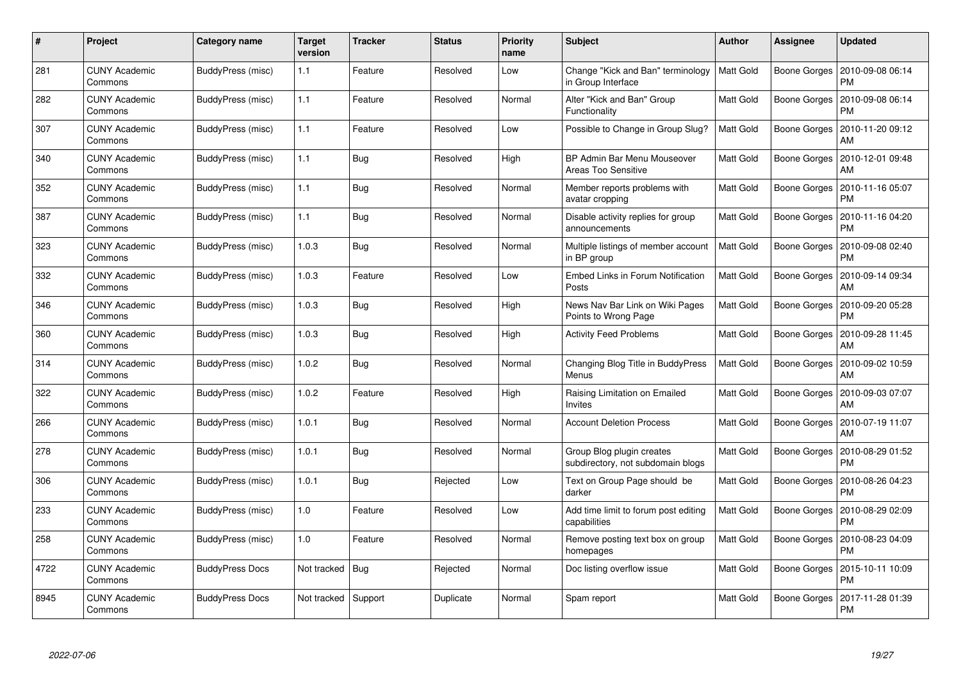| #    | Project                         | Category name          | Target<br>version | <b>Tracker</b> | <b>Status</b> | <b>Priority</b><br>name | <b>Subject</b>                                                 | <b>Author</b>    | Assignee            | <b>Updated</b>                |
|------|---------------------------------|------------------------|-------------------|----------------|---------------|-------------------------|----------------------------------------------------------------|------------------|---------------------|-------------------------------|
| 281  | <b>CUNY Academic</b><br>Commons | BuddyPress (misc)      | 1.1               | Feature        | Resolved      | Low                     | Change "Kick and Ban" terminology<br>in Group Interface        | <b>Matt Gold</b> | Boone Gorges        | 2010-09-08 06:14<br><b>PM</b> |
| 282  | <b>CUNY Academic</b><br>Commons | BuddyPress (misc)      | 1.1               | Feature        | Resolved      | Normal                  | Alter "Kick and Ban" Group<br>Functionality                    | <b>Matt Gold</b> | <b>Boone Gorges</b> | 2010-09-08 06:14<br><b>PM</b> |
| 307  | <b>CUNY Academic</b><br>Commons | BuddyPress (misc)      | 1.1               | Feature        | Resolved      | Low                     | Possible to Change in Group Slug?                              | Matt Gold        | <b>Boone Gorges</b> | 2010-11-20 09:12<br>AM        |
| 340  | <b>CUNY Academic</b><br>Commons | BuddyPress (misc)      | 1.1               | Bug            | Resolved      | High                    | BP Admin Bar Menu Mouseover<br>Areas Too Sensitive             | Matt Gold        | Boone Gorges        | 2010-12-01 09:48<br>AM        |
| 352  | <b>CUNY Academic</b><br>Commons | BuddyPress (misc)      | 1.1               | Bug            | Resolved      | Normal                  | Member reports problems with<br>avatar cropping                | Matt Gold        | Boone Gorges        | 2010-11-16 05:07<br><b>PM</b> |
| 387  | <b>CUNY Academic</b><br>Commons | BuddyPress (misc)      | 1.1               | Bug            | Resolved      | Normal                  | Disable activity replies for group<br>announcements            | Matt Gold        | Boone Gorges        | 2010-11-16 04:20<br><b>PM</b> |
| 323  | <b>CUNY Academic</b><br>Commons | BuddyPress (misc)      | 1.0.3             | Bug            | Resolved      | Normal                  | Multiple listings of member account<br>in BP group             | <b>Matt Gold</b> | <b>Boone Gorges</b> | 2010-09-08 02:40<br><b>PM</b> |
| 332  | <b>CUNY Academic</b><br>Commons | BuddyPress (misc)      | 1.0.3             | Feature        | Resolved      | Low                     | Embed Links in Forum Notification<br>Posts                     | <b>Matt Gold</b> | <b>Boone Gorges</b> | 2010-09-14 09:34<br>AM        |
| 346  | <b>CUNY Academic</b><br>Commons | BuddyPress (misc)      | 1.0.3             | Bug            | Resolved      | High                    | News Nav Bar Link on Wiki Pages<br>Points to Wrong Page        | Matt Gold        | Boone Gorges        | 2010-09-20 05:28<br><b>PM</b> |
| 360  | <b>CUNY Academic</b><br>Commons | BuddyPress (misc)      | 1.0.3             | Bug            | Resolved      | High                    | <b>Activity Feed Problems</b>                                  | <b>Matt Gold</b> | <b>Boone Gorges</b> | 2010-09-28 11:45<br>AM        |
| 314  | <b>CUNY Academic</b><br>Commons | BuddyPress (misc)      | 1.0.2             | Bug            | Resolved      | Normal                  | Changing Blog Title in BuddyPress<br>Menus                     | Matt Gold        | <b>Boone Gorges</b> | 2010-09-02 10:59<br>AM        |
| 322  | <b>CUNY Academic</b><br>Commons | BuddyPress (misc)      | 1.0.2             | Feature        | Resolved      | High                    | Raising Limitation on Emailed<br>Invites                       | Matt Gold        | Boone Gorges        | 2010-09-03 07:07<br>AM        |
| 266  | <b>CUNY Academic</b><br>Commons | BuddyPress (misc)      | 1.0.1             | <b>Bug</b>     | Resolved      | Normal                  | <b>Account Deletion Process</b>                                | Matt Gold        | Boone Gorges        | 2010-07-19 11:07<br>AM        |
| 278  | <b>CUNY Academic</b><br>Commons | BuddyPress (misc)      | 1.0.1             | Bug            | Resolved      | Normal                  | Group Blog plugin creates<br>subdirectory, not subdomain blogs | Matt Gold        | Boone Gorges        | 2010-08-29 01:52<br><b>PM</b> |
| 306  | <b>CUNY Academic</b><br>Commons | BuddyPress (misc)      | 1.0.1             | Bug            | Rejected      | Low                     | Text on Group Page should be<br>darker                         | Matt Gold        | Boone Gorges        | 2010-08-26 04:23<br><b>PM</b> |
| 233  | <b>CUNY Academic</b><br>Commons | BuddyPress (misc)      | 1.0               | Feature        | Resolved      | Low                     | Add time limit to forum post editing<br>capabilities           | Matt Gold        | Boone Gorges        | 2010-08-29 02:09<br><b>PM</b> |
| 258  | <b>CUNY Academic</b><br>Commons | BuddyPress (misc)      | 1.0               | Feature        | Resolved      | Normal                  | Remove posting text box on group<br>homepages                  | Matt Gold        | Boone Gorges        | 2010-08-23 04:09<br><b>PM</b> |
| 4722 | <b>CUNY Academic</b><br>Commons | <b>BuddyPress Docs</b> | Not tracked       | <b>Bug</b>     | Rejected      | Normal                  | Doc listing overflow issue                                     | Matt Gold        | <b>Boone Gorges</b> | 2015-10-11 10:09<br><b>PM</b> |
| 8945 | CUNY Academic<br>Commons        | <b>BuddyPress Docs</b> | Not tracked       | Support        | Duplicate     | Normal                  | Spam report                                                    | <b>Matt Gold</b> | Boone Gorges        | 2017-11-28 01:39<br>PM        |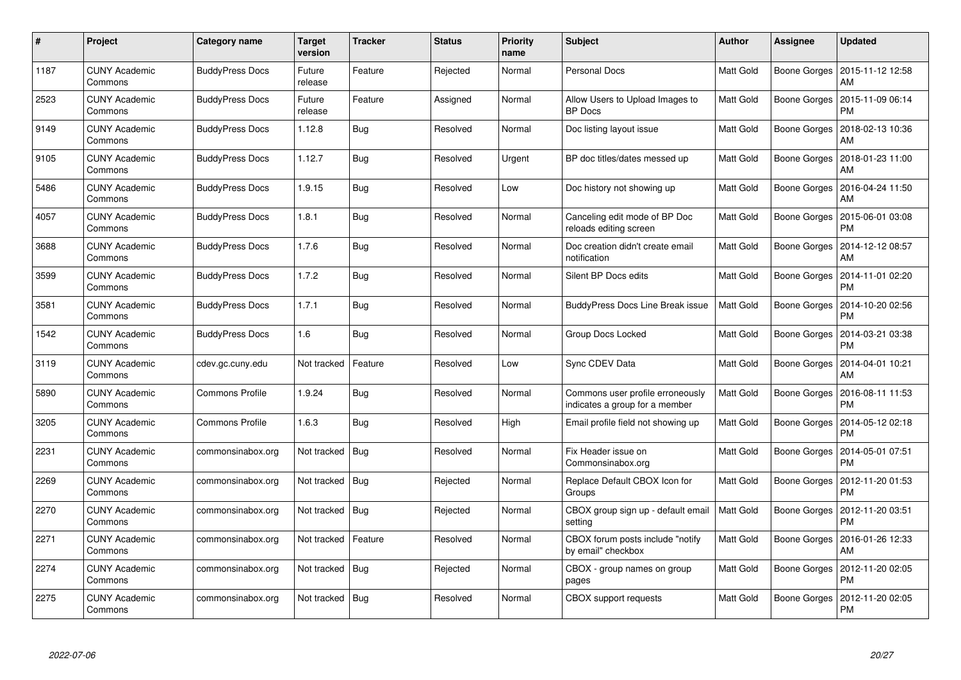| $\#$ | Project                         | Category name          | <b>Target</b><br>version | <b>Tracker</b> | <b>Status</b> | <b>Priority</b><br>name | <b>Subject</b>                                                     | <b>Author</b>    | Assignee            | <b>Updated</b>                |
|------|---------------------------------|------------------------|--------------------------|----------------|---------------|-------------------------|--------------------------------------------------------------------|------------------|---------------------|-------------------------------|
| 1187 | <b>CUNY Academic</b><br>Commons | <b>BuddyPress Docs</b> | Future<br>release        | Feature        | Rejected      | Normal                  | <b>Personal Docs</b>                                               | Matt Gold        | Boone Gorges        | 2015-11-12 12:58<br>AM        |
| 2523 | <b>CUNY Academic</b><br>Commons | <b>BuddyPress Docs</b> | Future<br>release        | Feature        | Assigned      | Normal                  | Allow Users to Upload Images to<br><b>BP</b> Docs                  | <b>Matt Gold</b> | Boone Gorges        | 2015-11-09 06:14<br><b>PM</b> |
| 9149 | <b>CUNY Academic</b><br>Commons | <b>BuddyPress Docs</b> | 1.12.8                   | Bug            | Resolved      | Normal                  | Doc listing layout issue                                           | Matt Gold        | Boone Gorges        | 2018-02-13 10:36<br>AM        |
| 9105 | <b>CUNY Academic</b><br>Commons | <b>BuddyPress Docs</b> | 1.12.7                   | <b>Bug</b>     | Resolved      | Urgent                  | BP doc titles/dates messed up                                      | Matt Gold        | Boone Gorges        | 2018-01-23 11:00<br>AM        |
| 5486 | <b>CUNY Academic</b><br>Commons | <b>BuddyPress Docs</b> | 1.9.15                   | Bug            | Resolved      | Low                     | Doc history not showing up                                         | <b>Matt Gold</b> | Boone Gorges        | 2016-04-24 11:50<br>AM        |
| 4057 | <b>CUNY Academic</b><br>Commons | <b>BuddyPress Docs</b> | 1.8.1                    | Bug            | Resolved      | Normal                  | Canceling edit mode of BP Doc<br>reloads editing screen            | <b>Matt Gold</b> | Boone Gorges        | 2015-06-01 03:08<br>PM        |
| 3688 | <b>CUNY Academic</b><br>Commons | <b>BuddyPress Docs</b> | 1.7.6                    | Bug            | Resolved      | Normal                  | Doc creation didn't create email<br>notification                   | <b>Matt Gold</b> | Boone Gorges        | 2014-12-12 08:57<br>AM        |
| 3599 | <b>CUNY Academic</b><br>Commons | <b>BuddyPress Docs</b> | 1.7.2                    | <b>Bug</b>     | Resolved      | Normal                  | Silent BP Docs edits                                               | Matt Gold        | Boone Gorges        | 2014-11-01 02:20<br><b>PM</b> |
| 3581 | <b>CUNY Academic</b><br>Commons | <b>BuddyPress Docs</b> | 1.7.1                    | Bug            | Resolved      | Normal                  | <b>BuddyPress Docs Line Break issue</b>                            | <b>Matt Gold</b> | Boone Gorges        | 2014-10-20 02:56<br><b>PM</b> |
| 1542 | <b>CUNY Academic</b><br>Commons | <b>BuddyPress Docs</b> | 1.6                      | Bug            | Resolved      | Normal                  | Group Docs Locked                                                  | Matt Gold        | Boone Gorges        | 2014-03-21 03:38<br>PM        |
| 3119 | <b>CUNY Academic</b><br>Commons | cdev.gc.cuny.edu       | Not tracked              | Feature        | Resolved      | Low                     | Sync CDEV Data                                                     | Matt Gold        | Boone Gorges        | 2014-04-01 10:21<br>AM        |
| 5890 | <b>CUNY Academic</b><br>Commons | <b>Commons Profile</b> | 1.9.24                   | Bug            | Resolved      | Normal                  | Commons user profile erroneously<br>indicates a group for a member | Matt Gold        | Boone Gorges        | 2016-08-11 11:53<br>PM        |
| 3205 | <b>CUNY Academic</b><br>Commons | <b>Commons Profile</b> | 1.6.3                    | Bug            | Resolved      | High                    | Email profile field not showing up                                 | Matt Gold        | Boone Gorges        | 2014-05-12 02:18<br><b>PM</b> |
| 2231 | <b>CUNY Academic</b><br>Commons | commonsinabox.org      | Not tracked              | Bug            | Resolved      | Normal                  | Fix Header issue on<br>Commonsinabox.org                           | Matt Gold        | Boone Gorges        | 2014-05-01 07:51<br>PM        |
| 2269 | <b>CUNY Academic</b><br>Commons | commonsinabox.org      | Not tracked              | Bug            | Rejected      | Normal                  | Replace Default CBOX Icon for<br>Groups                            | Matt Gold        | <b>Boone Gorges</b> | 2012-11-20 01:53<br>PM        |
| 2270 | <b>CUNY Academic</b><br>Commons | commonsinabox.org      | Not tracked              | Bug            | Rejected      | Normal                  | CBOX group sign up - default email<br>setting                      | <b>Matt Gold</b> | Boone Gorges        | 2012-11-20 03:51<br>PM        |
| 2271 | <b>CUNY Academic</b><br>Commons | commonsinabox.org      | Not tracked              | Feature        | Resolved      | Normal                  | CBOX forum posts include "notify<br>by email" checkbox             | Matt Gold        | Boone Gorges        | 2016-01-26 12:33<br>AM        |
| 2274 | <b>CUNY Academic</b><br>Commons | commonsinabox.org      | Not tracked              | <b>Bug</b>     | Rejected      | Normal                  | CBOX - group names on group<br>pages                               | Matt Gold        | Boone Gorges        | 2012-11-20 02:05<br><b>PM</b> |
| 2275 | CUNY Academic<br>Commons        | commonsinabox.org      | Not tracked              | Bug            | Resolved      | Normal                  | <b>CBOX</b> support requests                                       | Matt Gold        | Boone Gorges        | 2012-11-20 02:05<br><b>PM</b> |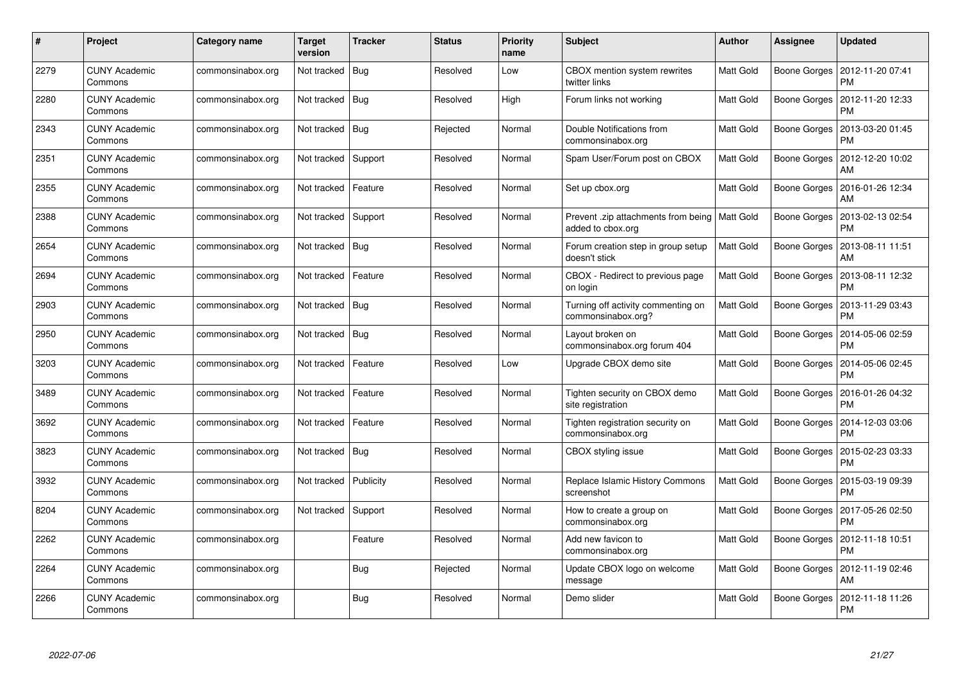| #    | Project                         | Category name     | <b>Target</b><br>version | <b>Tracker</b> | <b>Status</b> | <b>Priority</b><br>name | <b>Subject</b>                                                       | <b>Author</b>    | Assignee     | <b>Updated</b>                |
|------|---------------------------------|-------------------|--------------------------|----------------|---------------|-------------------------|----------------------------------------------------------------------|------------------|--------------|-------------------------------|
| 2279 | <b>CUNY Academic</b><br>Commons | commonsinabox.org | Not tracked              | Bug            | Resolved      | Low                     | CBOX mention system rewrites<br>twitter links                        | Matt Gold        | Boone Gorges | 2012-11-20 07:41<br><b>PM</b> |
| 2280 | <b>CUNY Academic</b><br>Commons | commonsinabox.org | Not tracked   Bug        |                | Resolved      | High                    | Forum links not working                                              | Matt Gold        | Boone Gorges | 2012-11-20 12:33<br><b>PM</b> |
| 2343 | <b>CUNY Academic</b><br>Commons | commonsinabox.org | Not tracked              | Bug            | Rejected      | Normal                  | Double Notifications from<br>commonsinabox.org                       | Matt Gold        | Boone Gorges | 2013-03-20 01:45<br>PM        |
| 2351 | <b>CUNY Academic</b><br>Commons | commonsinabox.org | Not tracked              | Support        | Resolved      | Normal                  | Spam User/Forum post on CBOX                                         | <b>Matt Gold</b> | Boone Gorges | 2012-12-20 10:02<br>AM        |
| 2355 | <b>CUNY Academic</b><br>Commons | commonsinabox.org | Not tracked              | Feature        | Resolved      | Normal                  | Set up cbox.org                                                      | Matt Gold        | Boone Gorges | 2016-01-26 12:34<br>AM        |
| 2388 | <b>CUNY Academic</b><br>Commons | commonsinabox.org | Not tracked              | Support        | Resolved      | Normal                  | Prevent .zip attachments from being   Matt Gold<br>added to cbox.org |                  | Boone Gorges | 2013-02-13 02:54<br>PM        |
| 2654 | <b>CUNY Academic</b><br>Commons | commonsinabox.org | Not tracked   Bug        |                | Resolved      | Normal                  | Forum creation step in group setup<br>doesn't stick                  | <b>Matt Gold</b> | Boone Gorges | 2013-08-11 11:51<br>AM        |
| 2694 | <b>CUNY Academic</b><br>Commons | commonsinabox.org | Not tracked              | Feature        | Resolved      | Normal                  | CBOX - Redirect to previous page<br>on login                         | Matt Gold        | Boone Gorges | 2013-08-11 12:32<br>PM        |
| 2903 | <b>CUNY Academic</b><br>Commons | commonsinabox.org | Not tracked   Bug        |                | Resolved      | Normal                  | Turning off activity commenting on<br>commonsinabox.org?             | <b>Matt Gold</b> | Boone Gorges | 2013-11-29 03:43<br><b>PM</b> |
| 2950 | <b>CUNY Academic</b><br>Commons | commonsinabox.org | Not tracked              | Bug            | Resolved      | Normal                  | Layout broken on<br>commonsinabox.org forum 404                      | <b>Matt Gold</b> | Boone Gorges | 2014-05-06 02:59<br>PM        |
| 3203 | <b>CUNY Academic</b><br>Commons | commonsinabox.org | Not tracked              | Feature        | Resolved      | Low                     | Upgrade CBOX demo site                                               | Matt Gold        | Boone Gorges | 2014-05-06 02:45<br><b>PM</b> |
| 3489 | <b>CUNY Academic</b><br>Commons | commonsinabox.org | Not tracked              | Feature        | Resolved      | Normal                  | Tighten security on CBOX demo<br>site registration                   | Matt Gold        | Boone Gorges | 2016-01-26 04:32<br>PM        |
| 3692 | <b>CUNY Academic</b><br>Commons | commonsinabox.org | Not tracked              | Feature        | Resolved      | Normal                  | Tighten registration security on<br>commonsinabox.org                | Matt Gold        | Boone Gorges | 2014-12-03 03:06<br><b>PM</b> |
| 3823 | <b>CUNY Academic</b><br>Commons | commonsinabox.org | Not tracked              | <b>Bug</b>     | Resolved      | Normal                  | CBOX styling issue                                                   | Matt Gold        | Boone Gorges | 2015-02-23 03:33<br>PM        |
| 3932 | <b>CUNY Academic</b><br>Commons | commonsinabox.org | Not tracked              | Publicity      | Resolved      | Normal                  | Replace Islamic History Commons<br>screenshot                        | Matt Gold        | Boone Gorges | 2015-03-19 09:39<br>PM        |
| 8204 | <b>CUNY Academic</b><br>Commons | commonsinabox.org | Not tracked              | Support        | Resolved      | Normal                  | How to create a group on<br>commonsinabox.org                        | Matt Gold        | Boone Gorges | 2017-05-26 02:50<br><b>PM</b> |
| 2262 | <b>CUNY Academic</b><br>Commons | commonsinabox.org |                          | Feature        | Resolved      | Normal                  | Add new favicon to<br>commonsinabox.org                              | Matt Gold        | Boone Gorges | 2012-11-18 10:51<br><b>PM</b> |
| 2264 | <b>CUNY Academic</b><br>Commons | commonsinabox.org |                          | Bug            | Rejected      | Normal                  | Update CBOX logo on welcome<br>message                               | Matt Gold        | Boone Gorges | 2012-11-19 02:46<br>AM        |
| 2266 | CUNY Academic<br>Commons        | commonsinabox.org |                          | Bug            | Resolved      | Normal                  | Demo slider                                                          | Matt Gold        | Boone Gorges | 2012-11-18 11:26<br><b>PM</b> |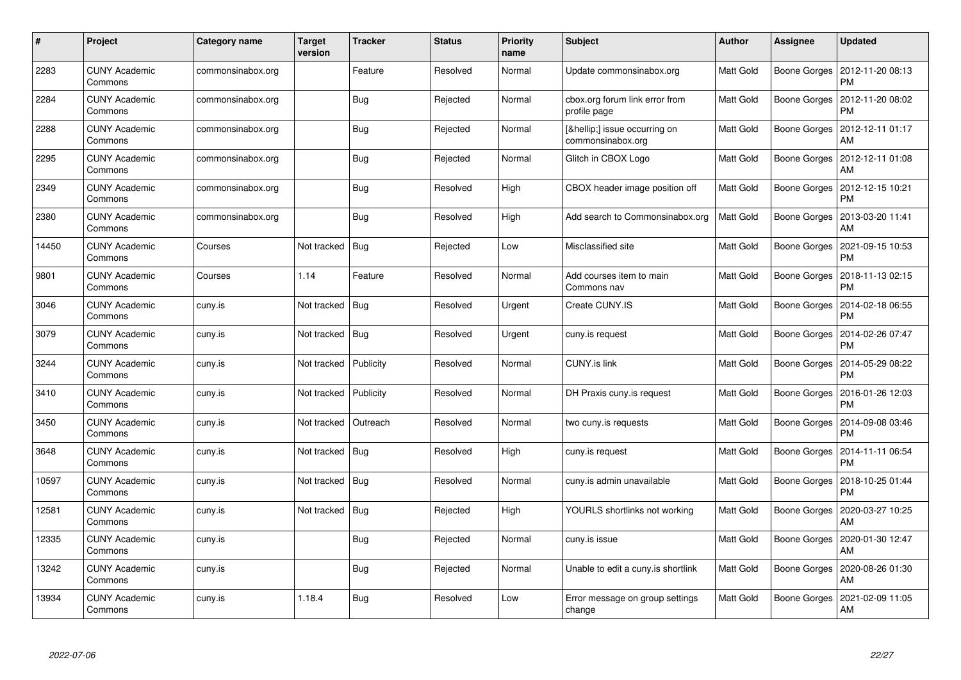| #     | Project                         | Category name     | Target<br>version      | <b>Tracker</b> | <b>Status</b> | <b>Priority</b><br>name | <b>Subject</b>                                 | <b>Author</b>    | Assignee            | <b>Updated</b>                |
|-------|---------------------------------|-------------------|------------------------|----------------|---------------|-------------------------|------------------------------------------------|------------------|---------------------|-------------------------------|
| 2283  | <b>CUNY Academic</b><br>Commons | commonsinabox.org |                        | Feature        | Resolved      | Normal                  | Update commonsinabox.org                       | Matt Gold        | Boone Gorges        | 2012-11-20 08:13<br><b>PM</b> |
| 2284  | <b>CUNY Academic</b><br>Commons | commonsinabox.org |                        | <b>Bug</b>     | Rejected      | Normal                  | cbox.org forum link error from<br>profile page | <b>Matt Gold</b> | Boone Gorges        | 2012-11-20 08:02<br><b>PM</b> |
| 2288  | <b>CUNY Academic</b><br>Commons | commonsinabox.org |                        | Bug            | Rejected      | Normal                  | […] issue occurring on<br>commonsinabox.org    | Matt Gold        | Boone Gorges        | 2012-12-11 01:17<br>AM        |
| 2295  | <b>CUNY Academic</b><br>Commons | commonsinabox.org |                        | Bug            | Rejected      | Normal                  | Glitch in CBOX Logo                            | Matt Gold        | Boone Gorges        | 2012-12-11 01:08<br>AM        |
| 2349  | <b>CUNY Academic</b><br>Commons | commonsinabox.org |                        | Bug            | Resolved      | High                    | CBOX header image position off                 | <b>Matt Gold</b> | Boone Gorges        | 2012-12-15 10:21<br><b>PM</b> |
| 2380  | <b>CUNY Academic</b><br>Commons | commonsinabox.org |                        | <b>Bug</b>     | Resolved      | High                    | Add search to Commonsinabox.org                | <b>Matt Gold</b> | Boone Gorges        | 2013-03-20 11:41<br>AM        |
| 14450 | <b>CUNY Academic</b><br>Commons | Courses           | Not tracked            | <b>Bug</b>     | Rejected      | Low                     | Misclassified site                             | Matt Gold        | Boone Gorges        | 2021-09-15 10:53<br><b>PM</b> |
| 9801  | <b>CUNY Academic</b><br>Commons | Courses           | 1.14                   | Feature        | Resolved      | Normal                  | Add courses item to main<br>Commons nav        | Matt Gold        | Boone Gorges        | 2018-11-13 02:15<br><b>PM</b> |
| 3046  | <b>CUNY Academic</b><br>Commons | cuny.is           | Not tracked   Bug      |                | Resolved      | Urgent                  | Create CUNY.IS                                 | Matt Gold        | Boone Gorges        | 2014-02-18 06:55<br><b>PM</b> |
| 3079  | <b>CUNY Academic</b><br>Commons | cuny.is           | Not tracked            | Bug            | Resolved      | Urgent                  | cuny.is request                                | Matt Gold        | Boone Gorges        | 2014-02-26 07:47<br><b>PM</b> |
| 3244  | <b>CUNY Academic</b><br>Commons | cuny.is           | Not tracked            | Publicity      | Resolved      | Normal                  | <b>CUNY.is link</b>                            | Matt Gold        | <b>Boone Gorges</b> | 2014-05-29 08:22<br><b>PM</b> |
| 3410  | <b>CUNY Academic</b><br>Commons | cuny.is           | Not tracked            | Publicity      | Resolved      | Normal                  | DH Praxis cuny is request                      | Matt Gold        | Boone Gorges        | 2016-01-26 12:03<br>PM        |
| 3450  | <b>CUNY Academic</b><br>Commons | cuny.is           | Not tracked   Outreach |                | Resolved      | Normal                  | two cuny is requests                           | Matt Gold        | Boone Gorges        | 2014-09-08 03:46<br><b>PM</b> |
| 3648  | <b>CUNY Academic</b><br>Commons | cuny.is           | Not tracked            | <b>Bug</b>     | Resolved      | High                    | cuny.is request                                | Matt Gold        | Boone Gorges        | 2014-11-11 06:54<br>PM        |
| 10597 | <b>CUNY Academic</b><br>Commons | cuny.is           | Not tracked            | Bug            | Resolved      | Normal                  | cuny is admin unavailable                      | Matt Gold        | Boone Gorges        | 2018-10-25 01:44<br><b>PM</b> |
| 12581 | <b>CUNY Academic</b><br>Commons | cuny.is           | Not tracked   Bug      |                | Rejected      | High                    | YOURLS shortlinks not working                  | Matt Gold        | Boone Gorges        | 2020-03-27 10:25<br>AM        |
| 12335 | <b>CUNY Academic</b><br>Commons | cuny.is           |                        | <b>Bug</b>     | Rejected      | Normal                  | cuny.is issue                                  | Matt Gold        | Boone Gorges        | 2020-01-30 12:47<br>AM        |
| 13242 | <b>CUNY Academic</b><br>Commons | cuny.is           |                        | Bug            | Rejected      | Normal                  | Unable to edit a cuny.is shortlink             | Matt Gold        | Boone Gorges        | 2020-08-26 01:30<br>AM        |
| 13934 | CUNY Academic<br>Commons        | cuny.is           | 1.18.4                 | Bug            | Resolved      | Low                     | Error message on group settings<br>change      | Matt Gold        | Boone Gorges        | 2021-02-09 11:05<br>AM        |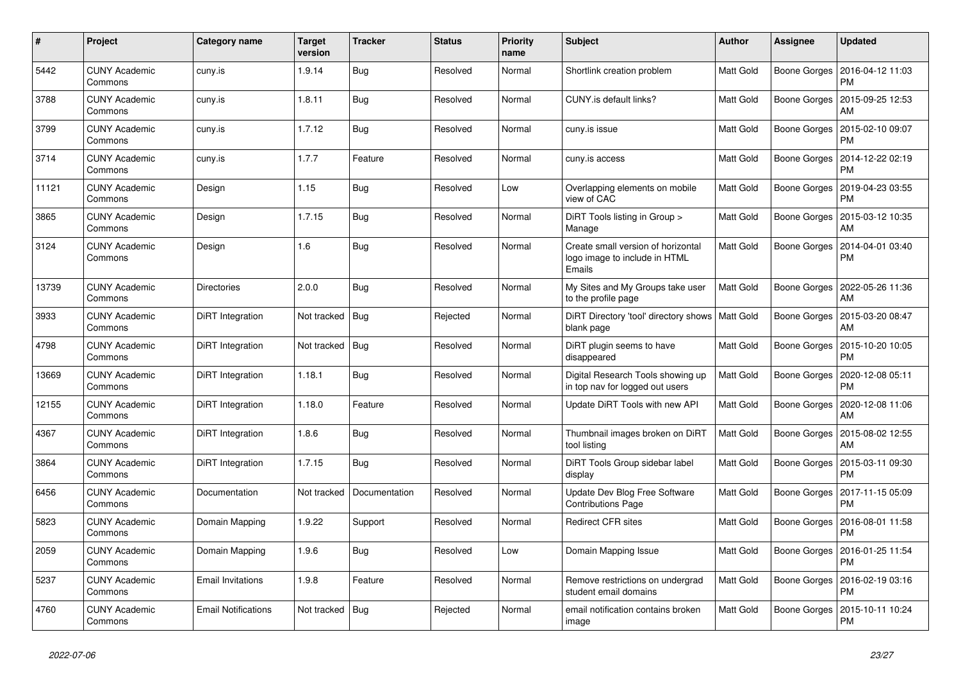| $\#$  | Project                         | Category name              | <b>Target</b><br>version | <b>Tracker</b> | <b>Status</b> | <b>Priority</b><br>name | <b>Subject</b>                                                                | <b>Author</b>    | <b>Assignee</b> | <b>Updated</b>                               |
|-------|---------------------------------|----------------------------|--------------------------|----------------|---------------|-------------------------|-------------------------------------------------------------------------------|------------------|-----------------|----------------------------------------------|
| 5442  | <b>CUNY Academic</b><br>Commons | cuny.is                    | 1.9.14                   | Bug            | Resolved      | Normal                  | Shortlink creation problem                                                    | <b>Matt Gold</b> | Boone Gorges    | 2016-04-12 11:03<br><b>PM</b>                |
| 3788  | <b>CUNY Academic</b><br>Commons | cuny.is                    | 1.8.11                   | Bug            | Resolved      | Normal                  | CUNY.is default links?                                                        | Matt Gold        | Boone Gorges    | 2015-09-25 12:53<br>AM                       |
| 3799  | <b>CUNY Academic</b><br>Commons | cuny.is                    | 1.7.12                   | Bug            | Resolved      | Normal                  | cuny.is issue                                                                 | Matt Gold        | Boone Gorges    | 2015-02-10 09:07<br>PM                       |
| 3714  | <b>CUNY Academic</b><br>Commons | cuny.is                    | 1.7.7                    | Feature        | Resolved      | Normal                  | cuny.is access                                                                | Matt Gold        | Boone Gorges    | 2014-12-22 02:19<br><b>PM</b>                |
| 11121 | <b>CUNY Academic</b><br>Commons | Design                     | 1.15                     | Bug            | Resolved      | Low                     | Overlapping elements on mobile<br>view of CAC                                 | Matt Gold        | Boone Gorges    | 2019-04-23 03:55<br>PM                       |
| 3865  | <b>CUNY Academic</b><br>Commons | Design                     | 1.7.15                   | Bug            | Resolved      | Normal                  | DiRT Tools listing in Group ><br>Manage                                       | Matt Gold        | Boone Gorges    | 2015-03-12 10:35<br>AM                       |
| 3124  | <b>CUNY Academic</b><br>Commons | Design                     | 1.6                      | Bug            | Resolved      | Normal                  | Create small version of horizontal<br>logo image to include in HTML<br>Emails | <b>Matt Gold</b> | Boone Gorges    | 2014-04-01 03:40<br><b>PM</b>                |
| 13739 | <b>CUNY Academic</b><br>Commons | <b>Directories</b>         | 2.0.0                    | Bug            | Resolved      | Normal                  | My Sites and My Groups take user<br>to the profile page                       | Matt Gold        | Boone Gorges    | 2022-05-26 11:36<br>AM                       |
| 3933  | <b>CUNY Academic</b><br>Commons | DiRT Integration           | Not tracked              | Bug            | Rejected      | Normal                  | DiRT Directory 'tool' directory shows   Matt Gold<br>blank page               |                  | Boone Gorges    | 2015-03-20 08:47<br>AM                       |
| 4798  | <b>CUNY Academic</b><br>Commons | DiRT Integration           | Not tracked              | Bug            | Resolved      | Normal                  | DiRT plugin seems to have<br>disappeared                                      | <b>Matt Gold</b> | Boone Gorges    | 2015-10-20 10:05<br><b>PM</b>                |
| 13669 | <b>CUNY Academic</b><br>Commons | DiRT Integration           | 1.18.1                   | Bug            | Resolved      | Normal                  | Digital Research Tools showing up<br>in top nav for logged out users          | Matt Gold        |                 | Boone Gorges   2020-12-08 05:11<br><b>PM</b> |
| 12155 | <b>CUNY Academic</b><br>Commons | DiRT Integration           | 1.18.0                   | Feature        | Resolved      | Normal                  | Update DiRT Tools with new API                                                | Matt Gold        | Boone Gorges    | 2020-12-08 11:06<br>AM                       |
| 4367  | <b>CUNY Academic</b><br>Commons | DiRT Integration           | 1.8.6                    | Bug            | Resolved      | Normal                  | Thumbnail images broken on DiRT<br>tool listing                               | <b>Matt Gold</b> | Boone Gorges    | 2015-08-02 12:55<br>AM                       |
| 3864  | <b>CUNY Academic</b><br>Commons | DiRT Integration           | 1.7.15                   | Bug            | Resolved      | Normal                  | DiRT Tools Group sidebar label<br>display                                     | Matt Gold        | Boone Gorges    | 2015-03-11 09:30<br><b>PM</b>                |
| 6456  | <b>CUNY Academic</b><br>Commons | Documentation              | Not tracked              | Documentation  | Resolved      | Normal                  | Update Dev Blog Free Software<br><b>Contributions Page</b>                    | Matt Gold        | Boone Gorges    | 2017-11-15 05:09<br><b>PM</b>                |
| 5823  | <b>CUNY Academic</b><br>Commons | Domain Mapping             | 1.9.22                   | Support        | Resolved      | Normal                  | <b>Redirect CFR sites</b>                                                     | Matt Gold        | Boone Gorges    | 2016-08-01 11:58<br>PM                       |
| 2059  | <b>CUNY Academic</b><br>Commons | Domain Mapping             | 1.9.6                    | Bug            | Resolved      | Low                     | Domain Mapping Issue                                                          | <b>Matt Gold</b> |                 | Boone Gorges   2016-01-25 11:54<br>PM        |
| 5237  | <b>CUNY Academic</b><br>Commons | <b>Email Invitations</b>   | 1.9.8                    | Feature        | Resolved      | Normal                  | Remove restrictions on undergrad<br>student email domains                     | Matt Gold        | Boone Gorges    | 2016-02-19 03:16<br><b>PM</b>                |
| 4760  | <b>CUNY Academic</b><br>Commons | <b>Email Notifications</b> | Not tracked              | <b>Bug</b>     | Rejected      | Normal                  | email notification contains broken<br>image                                   | Matt Gold        | Boone Gorges    | 2015-10-11 10:24<br><b>PM</b>                |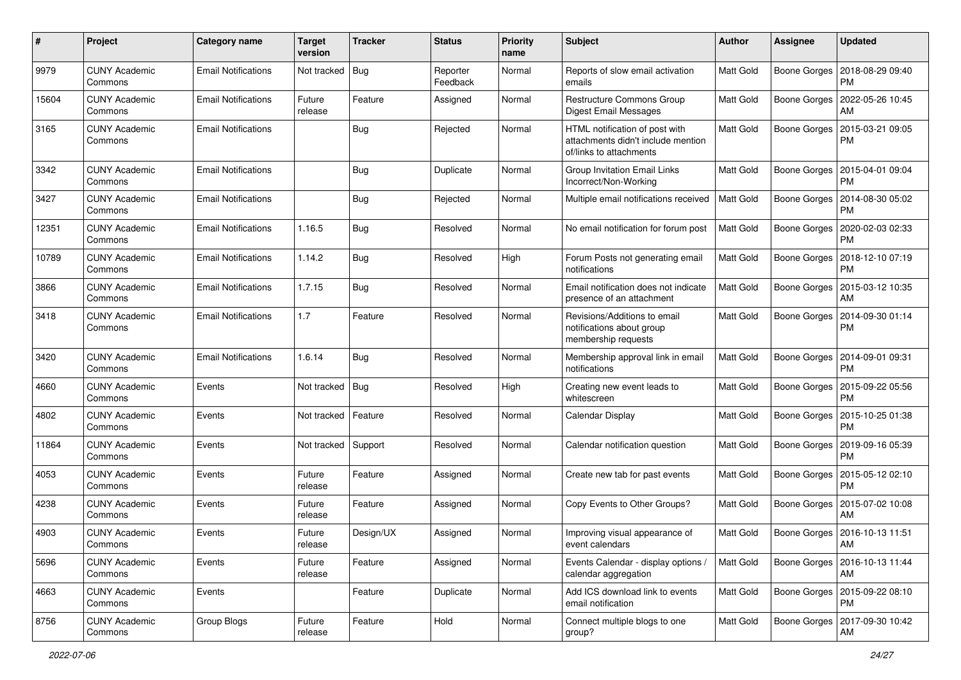| #     | Project                         | Category name              | <b>Target</b><br>version | <b>Tracker</b> | <b>Status</b>        | <b>Priority</b><br>name | Subject                                                                                         | Author           | <b>Assignee</b> | <b>Updated</b>                               |
|-------|---------------------------------|----------------------------|--------------------------|----------------|----------------------|-------------------------|-------------------------------------------------------------------------------------------------|------------------|-----------------|----------------------------------------------|
| 9979  | <b>CUNY Academic</b><br>Commons | <b>Email Notifications</b> | Not tracked              | Bug            | Reporter<br>Feedback | Normal                  | Reports of slow email activation<br>emails                                                      | Matt Gold        | Boone Gorges    | 2018-08-29 09:40<br>PM                       |
| 15604 | <b>CUNY Academic</b><br>Commons | <b>Email Notifications</b> | Future<br>release        | Feature        | Assigned             | Normal                  | Restructure Commons Group<br><b>Digest Email Messages</b>                                       | <b>Matt Gold</b> | Boone Gorges    | 2022-05-26 10:45<br>AM                       |
| 3165  | <b>CUNY Academic</b><br>Commons | <b>Email Notifications</b> |                          | Bug            | Rejected             | Normal                  | HTML notification of post with<br>attachments didn't include mention<br>of/links to attachments | <b>Matt Gold</b> | Boone Gorges    | 2015-03-21 09:05<br><b>PM</b>                |
| 3342  | <b>CUNY Academic</b><br>Commons | <b>Email Notifications</b> |                          | <b>Bug</b>     | Duplicate            | Normal                  | Group Invitation Email Links<br>Incorrect/Non-Working                                           | <b>Matt Gold</b> | Boone Gorges    | 2015-04-01 09:04<br><b>PM</b>                |
| 3427  | <b>CUNY Academic</b><br>Commons | <b>Email Notifications</b> |                          | Bug            | Rejected             | Normal                  | Multiple email notifications received                                                           | Matt Gold        | Boone Gorges    | 2014-08-30 05:02<br><b>PM</b>                |
| 12351 | <b>CUNY Academic</b><br>Commons | <b>Email Notifications</b> | 1.16.5                   | Bug            | Resolved             | Normal                  | No email notification for forum post                                                            | Matt Gold        | Boone Gorges    | 2020-02-03 02:33<br><b>PM</b>                |
| 10789 | <b>CUNY Academic</b><br>Commons | <b>Email Notifications</b> | 1.14.2                   | Bug            | Resolved             | High                    | Forum Posts not generating email<br>notifications                                               | Matt Gold        |                 | Boone Gorges   2018-12-10 07:19<br><b>PM</b> |
| 3866  | <b>CUNY Academic</b><br>Commons | <b>Email Notifications</b> | 1.7.15                   | Bug            | Resolved             | Normal                  | Email notification does not indicate<br>presence of an attachment                               | <b>Matt Gold</b> | Boone Gorges    | 2015-03-12 10:35<br>AM                       |
| 3418  | <b>CUNY Academic</b><br>Commons | <b>Email Notifications</b> | 1.7                      | Feature        | Resolved             | Normal                  | Revisions/Additions to email<br>notifications about group<br>membership requests                | Matt Gold        | Boone Gorges    | 2014-09-30 01:14<br>PM                       |
| 3420  | <b>CUNY Academic</b><br>Commons | <b>Email Notifications</b> | 1.6.14                   | Bug            | Resolved             | Normal                  | Membership approval link in email<br>notifications                                              | Matt Gold        | Boone Gorges    | 2014-09-01 09:31<br>PM                       |
| 4660  | <b>CUNY Academic</b><br>Commons | Events                     | Not tracked              | Bug            | Resolved             | High                    | Creating new event leads to<br>whitescreen                                                      | <b>Matt Gold</b> | Boone Gorges    | 2015-09-22 05:56<br><b>PM</b>                |
| 4802  | <b>CUNY Academic</b><br>Commons | Events                     | Not tracked              | Feature        | Resolved             | Normal                  | Calendar Display                                                                                | <b>Matt Gold</b> | Boone Gorges    | 2015-10-25 01:38<br><b>PM</b>                |
| 11864 | <b>CUNY Academic</b><br>Commons | Events                     | Not tracked              | Support        | Resolved             | Normal                  | Calendar notification question                                                                  | <b>Matt Gold</b> | Boone Gorges    | 2019-09-16 05:39<br><b>PM</b>                |
| 4053  | <b>CUNY Academic</b><br>Commons | Events                     | Future<br>release        | Feature        | Assigned             | Normal                  | Create new tab for past events                                                                  | Matt Gold        | Boone Gorges    | 2015-05-12 02:10<br><b>PM</b>                |
| 4238  | <b>CUNY Academic</b><br>Commons | Events                     | Future<br>release        | Feature        | Assigned             | Normal                  | Copy Events to Other Groups?                                                                    | <b>Matt Gold</b> | Boone Gorges    | 2015-07-02 10:08<br>AM                       |
| 4903  | <b>CUNY Academic</b><br>Commons | Events                     | Future<br>release        | Design/UX      | Assigned             | Normal                  | Improving visual appearance of<br>event calendars                                               | <b>Matt Gold</b> | Boone Gorges    | 2016-10-13 11:51<br>AM                       |
| 5696  | <b>CUNY Academic</b><br>Commons | Events                     | Future<br>release        | Feature        | Assigned             | Normal                  | Events Calendar - display options /<br>calendar aggregation                                     | Matt Gold        |                 | Boone Gorges   2016-10-13 11:44<br>AM        |
| 4663  | <b>CUNY Academic</b><br>Commons | Events                     |                          | Feature        | Duplicate            | Normal                  | Add ICS download link to events<br>email notification                                           | Matt Gold        |                 | Boone Gorges   2015-09-22 08:10<br><b>PM</b> |
| 8756  | <b>CUNY Academic</b><br>Commons | Group Blogs                | Future<br>release        | Feature        | Hold                 | Normal                  | Connect multiple blogs to one<br>group?                                                         | <b>Matt Gold</b> |                 | Boone Gorges   2017-09-30 10:42<br>АM        |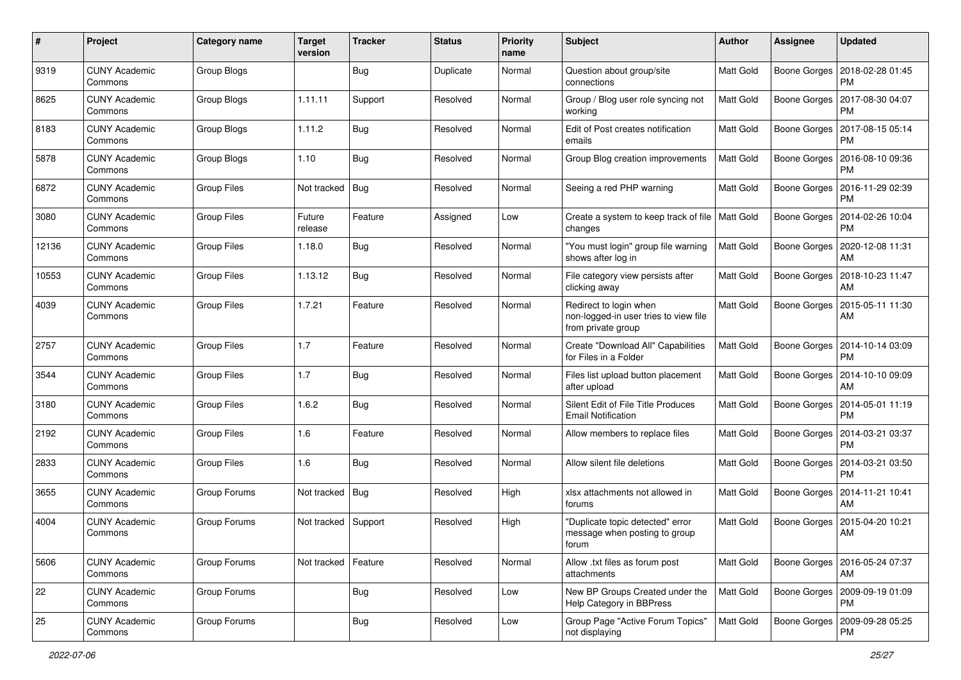| #     | Project                         | <b>Category name</b> | <b>Target</b><br>version | <b>Tracker</b> | <b>Status</b> | <b>Priority</b><br>name | Subject                                                                               | Author           | <b>Assignee</b>     | <b>Updated</b>                               |
|-------|---------------------------------|----------------------|--------------------------|----------------|---------------|-------------------------|---------------------------------------------------------------------------------------|------------------|---------------------|----------------------------------------------|
| 9319  | <b>CUNY Academic</b><br>Commons | Group Blogs          |                          | <b>Bug</b>     | Duplicate     | Normal                  | Question about group/site<br>connections                                              | Matt Gold        | <b>Boone Gorges</b> | 2018-02-28 01:45<br><b>PM</b>                |
| 8625  | <b>CUNY Academic</b><br>Commons | Group Blogs          | 1.11.11                  | Support        | Resolved      | Normal                  | Group / Blog user role syncing not<br>working                                         | Matt Gold        | Boone Gorges        | 2017-08-30 04:07<br><b>PM</b>                |
| 8183  | <b>CUNY Academic</b><br>Commons | Group Blogs          | 1.11.2                   | Bug            | Resolved      | Normal                  | Edit of Post creates notification<br>emails                                           | Matt Gold        | Boone Gorges        | 2017-08-15 05:14<br><b>PM</b>                |
| 5878  | <b>CUNY Academic</b><br>Commons | Group Blogs          | 1.10                     | Bug            | Resolved      | Normal                  | Group Blog creation improvements                                                      | <b>Matt Gold</b> | Boone Gorges        | 2016-08-10 09:36<br><b>PM</b>                |
| 6872  | <b>CUNY Academic</b><br>Commons | <b>Group Files</b>   | Not tracked              | Bug            | Resolved      | Normal                  | Seeing a red PHP warning                                                              | <b>Matt Gold</b> | Boone Gorges        | 2016-11-29 02:39<br><b>PM</b>                |
| 3080  | <b>CUNY Academic</b><br>Commons | <b>Group Files</b>   | Future<br>release        | Feature        | Assigned      | Low                     | Create a system to keep track of file<br>changes                                      | <b>Matt Gold</b> | <b>Boone Gorges</b> | 2014-02-26 10:04<br><b>PM</b>                |
| 12136 | <b>CUNY Academic</b><br>Commons | <b>Group Files</b>   | 1.18.0                   | <b>Bug</b>     | Resolved      | Normal                  | "You must login" group file warning<br>shows after log in                             | Matt Gold        | Boone Gorges        | 2020-12-08 11:31<br>AM                       |
| 10553 | <b>CUNY Academic</b><br>Commons | <b>Group Files</b>   | 1.13.12                  | <b>Bug</b>     | Resolved      | Normal                  | File category view persists after<br>clicking away                                    | Matt Gold        | Boone Gorges        | 2018-10-23 11:47<br>AM                       |
| 4039  | <b>CUNY Academic</b><br>Commons | <b>Group Files</b>   | 1.7.21                   | Feature        | Resolved      | Normal                  | Redirect to login when<br>non-logged-in user tries to view file<br>from private group | Matt Gold        | Boone Gorges        | 2015-05-11 11:30<br>AM                       |
| 2757  | <b>CUNY Academic</b><br>Commons | <b>Group Files</b>   | 1.7                      | Feature        | Resolved      | Normal                  | Create "Download All" Capabilities<br>for Files in a Folder                           | <b>Matt Gold</b> |                     | Boone Gorges   2014-10-14 03:09<br><b>PM</b> |
| 3544  | <b>CUNY Academic</b><br>Commons | <b>Group Files</b>   | 1.7                      | <b>Bug</b>     | Resolved      | Normal                  | Files list upload button placement<br>after upload                                    | Matt Gold        | Boone Gorges        | 2014-10-10 09:09<br>AM                       |
| 3180  | <b>CUNY Academic</b><br>Commons | <b>Group Files</b>   | 1.6.2                    | Bug            | Resolved      | Normal                  | Silent Edit of File Title Produces<br><b>Email Notification</b>                       | <b>Matt Gold</b> | Boone Gorges        | 2014-05-01 11:19<br><b>PM</b>                |
| 2192  | <b>CUNY Academic</b><br>Commons | <b>Group Files</b>   | 1.6                      | Feature        | Resolved      | Normal                  | Allow members to replace files                                                        | <b>Matt Gold</b> | Boone Gorges        | 2014-03-21 03:37<br><b>PM</b>                |
| 2833  | <b>CUNY Academic</b><br>Commons | <b>Group Files</b>   | 1.6                      | Bug            | Resolved      | Normal                  | Allow silent file deletions                                                           | <b>Matt Gold</b> |                     | Boone Gorges   2014-03-21 03:50<br><b>PM</b> |
| 3655  | <b>CUNY Academic</b><br>Commons | Group Forums         | Not tracked              | Bug            | Resolved      | High                    | xlsx attachments not allowed in<br>forums                                             | Matt Gold        | Boone Gorges        | 2014-11-21 10:41<br>AM                       |
| 4004  | <b>CUNY Academic</b><br>Commons | <b>Group Forums</b>  | Not tracked              | Support        | Resolved      | High                    | "Duplicate topic detected" error<br>message when posting to group<br><b>TOrum</b>     | Matt Gold        | Boone Gorges        | 2015-04-20 10:21<br>AM                       |
| 5606  | <b>CUNY Academic</b><br>Commons | Group Forums         | Not tracked              | Feature        | Resolved      | Normal                  | Allow .txt files as forum post<br>attachments                                         | Matt Gold        |                     | Boone Gorges   2016-05-24 07:37<br>AM        |
| 22    | <b>CUNY Academic</b><br>Commons | Group Forums         |                          | Bug            | Resolved      | Low                     | New BP Groups Created under the<br>Help Category in BBPress                           | Matt Gold        |                     | Boone Gorges   2009-09-19 01:09<br><b>PM</b> |
| 25    | <b>CUNY Academic</b><br>Commons | Group Forums         |                          | <b>Bug</b>     | Resolved      | Low                     | Group Page "Active Forum Topics"<br>not displaying                                    | Matt Gold        |                     | Boone Gorges   2009-09-28 05:25<br><b>PM</b> |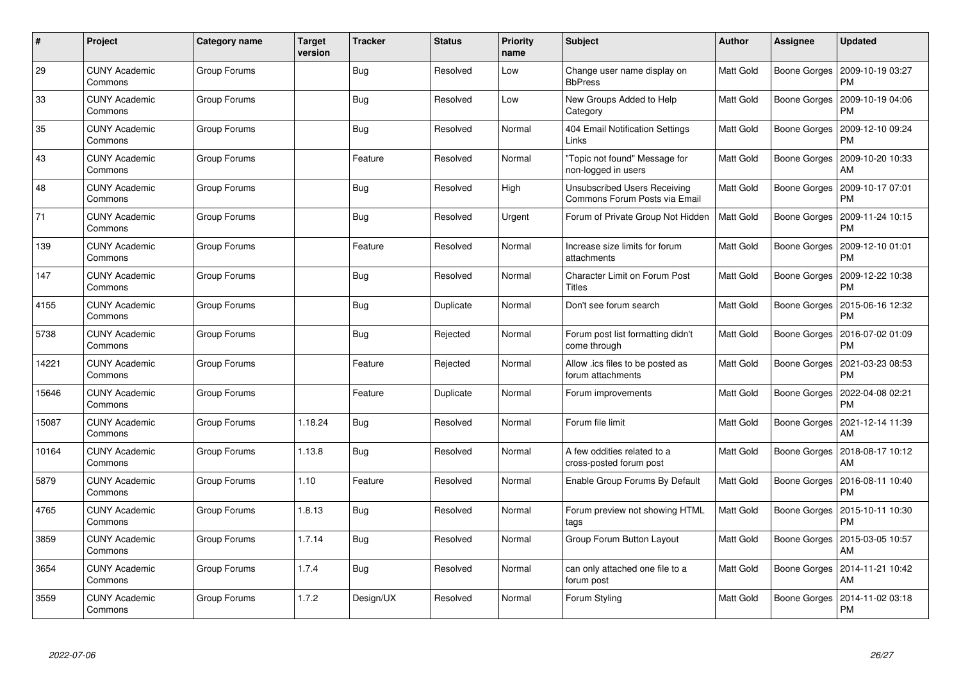| $\#$  | Project                         | Category name | <b>Target</b><br>version | <b>Tracker</b> | <b>Status</b> | <b>Priority</b><br>name | <b>Subject</b>                                                | <b>Author</b>    | <b>Assignee</b>     | <b>Updated</b>                |
|-------|---------------------------------|---------------|--------------------------|----------------|---------------|-------------------------|---------------------------------------------------------------|------------------|---------------------|-------------------------------|
| 29    | <b>CUNY Academic</b><br>Commons | Group Forums  |                          | Bug            | Resolved      | Low                     | Change user name display on<br><b>BbPress</b>                 | Matt Gold        | Boone Gorges        | 2009-10-19 03:27<br><b>PM</b> |
| 33    | <b>CUNY Academic</b><br>Commons | Group Forums  |                          | <b>Bug</b>     | Resolved      | Low                     | New Groups Added to Help<br>Category                          | <b>Matt Gold</b> | Boone Gorges        | 2009-10-19 04:06<br><b>PM</b> |
| 35    | <b>CUNY Academic</b><br>Commons | Group Forums  |                          | Bug            | Resolved      | Normal                  | 404 Email Notification Settings<br>Links                      | <b>Matt Gold</b> | Boone Gorges        | 2009-12-10 09:24<br>PM        |
| 43    | <b>CUNY Academic</b><br>Commons | Group Forums  |                          | Feature        | Resolved      | Normal                  | 'Topic not found" Message for<br>non-logged in users          | Matt Gold        | Boone Gorges        | 2009-10-20 10:33<br>AM        |
| 48    | <b>CUNY Academic</b><br>Commons | Group Forums  |                          | Bug            | Resolved      | High                    | Unsubscribed Users Receiving<br>Commons Forum Posts via Email | Matt Gold        | Boone Gorges        | 2009-10-17 07:01<br><b>PM</b> |
| 71    | <b>CUNY Academic</b><br>Commons | Group Forums  |                          | Bug            | Resolved      | Urgent                  | Forum of Private Group Not Hidden                             | <b>Matt Gold</b> | <b>Boone Gorges</b> | 2009-11-24 10:15<br>PM        |
| 139   | <b>CUNY Academic</b><br>Commons | Group Forums  |                          | Feature        | Resolved      | Normal                  | Increase size limits for forum<br>attachments                 | <b>Matt Gold</b> | Boone Gorges        | 2009-12-10 01:01<br><b>PM</b> |
| 147   | <b>CUNY Academic</b><br>Commons | Group Forums  |                          | <b>Bug</b>     | Resolved      | Normal                  | Character Limit on Forum Post<br><b>Titles</b>                | Matt Gold        | Boone Gorges        | 2009-12-22 10:38<br><b>PM</b> |
| 4155  | <b>CUNY Academic</b><br>Commons | Group Forums  |                          | Bug            | Duplicate     | Normal                  | Don't see forum search                                        | Matt Gold        | Boone Gorges        | 2015-06-16 12:32<br><b>PM</b> |
| 5738  | <b>CUNY Academic</b><br>Commons | Group Forums  |                          | Bug            | Rejected      | Normal                  | Forum post list formatting didn't<br>come through             | <b>Matt Gold</b> | Boone Gorges        | 2016-07-02 01:09<br><b>PM</b> |
| 14221 | <b>CUNY Academic</b><br>Commons | Group Forums  |                          | Feature        | Rejected      | Normal                  | Allow .ics files to be posted as<br>forum attachments         | Matt Gold        | Boone Gorges        | 2021-03-23 08:53<br><b>PM</b> |
| 15646 | <b>CUNY Academic</b><br>Commons | Group Forums  |                          | Feature        | Duplicate     | Normal                  | Forum improvements                                            | <b>Matt Gold</b> | Boone Gorges        | 2022-04-08 02:21<br>PM        |
| 15087 | <b>CUNY Academic</b><br>Commons | Group Forums  | 1.18.24                  | <b>Bug</b>     | Resolved      | Normal                  | Forum file limit                                              | Matt Gold        | Boone Gorges        | 2021-12-14 11:39<br>AM        |
| 10164 | <b>CUNY Academic</b><br>Commons | Group Forums  | 1.13.8                   | Bug            | Resolved      | Normal                  | A few oddities related to a<br>cross-posted forum post        | Matt Gold        | Boone Gorges        | 2018-08-17 10:12<br>AM        |
| 5879  | <b>CUNY Academic</b><br>Commons | Group Forums  | 1.10                     | Feature        | Resolved      | Normal                  | Enable Group Forums By Default                                | Matt Gold        | Boone Gorges        | 2016-08-11 10:40<br><b>PM</b> |
| 4765  | <b>CUNY Academic</b><br>Commons | Group Forums  | 1.8.13                   | Bug            | Resolved      | Normal                  | Forum preview not showing HTML<br>tags                        | Matt Gold        | Boone Gorges        | 2015-10-11 10:30<br><b>PM</b> |
| 3859  | <b>CUNY Academic</b><br>Commons | Group Forums  | 1.7.14                   | Bug            | Resolved      | Normal                  | Group Forum Button Layout                                     | Matt Gold        | Boone Gorges        | 2015-03-05 10:57<br>AM        |
| 3654  | <b>CUNY Academic</b><br>Commons | Group Forums  | 1.7.4                    | Bug            | Resolved      | Normal                  | can only attached one file to a<br>forum post                 | Matt Gold        | Boone Gorges        | 2014-11-21 10:42<br>AM        |
| 3559  | CUNY Academic<br>Commons        | Group Forums  | 1.7.2                    | Design/UX      | Resolved      | Normal                  | Forum Styling                                                 | Matt Gold        | Boone Gorges        | 2014-11-02 03:18<br><b>PM</b> |